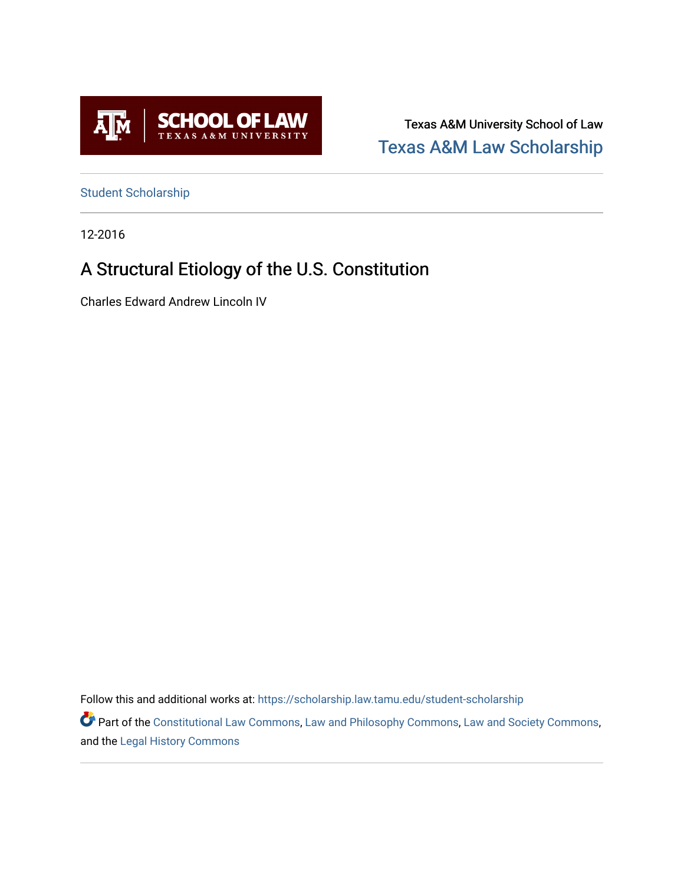

Texas A&M University School of Law [Texas A&M Law Scholarship](https://scholarship.law.tamu.edu/) 

[Student Scholarship](https://scholarship.law.tamu.edu/student-scholarship)

12-2016

# A Structural Etiology of the U.S. Constitution

Charles Edward Andrew Lincoln IV

Follow this and additional works at: [https://scholarship.law.tamu.edu/student-scholarship](https://scholarship.law.tamu.edu/student-scholarship?utm_source=scholarship.law.tamu.edu%2Fstudent-scholarship%2F12&utm_medium=PDF&utm_campaign=PDFCoverPages) 

Part of the [Constitutional Law Commons,](https://network.bepress.com/hgg/discipline/589?utm_source=scholarship.law.tamu.edu%2Fstudent-scholarship%2F12&utm_medium=PDF&utm_campaign=PDFCoverPages) [Law and Philosophy Commons,](https://network.bepress.com/hgg/discipline/1299?utm_source=scholarship.law.tamu.edu%2Fstudent-scholarship%2F12&utm_medium=PDF&utm_campaign=PDFCoverPages) [Law and Society Commons](https://network.bepress.com/hgg/discipline/853?utm_source=scholarship.law.tamu.edu%2Fstudent-scholarship%2F12&utm_medium=PDF&utm_campaign=PDFCoverPages), and the [Legal History Commons](https://network.bepress.com/hgg/discipline/904?utm_source=scholarship.law.tamu.edu%2Fstudent-scholarship%2F12&utm_medium=PDF&utm_campaign=PDFCoverPages)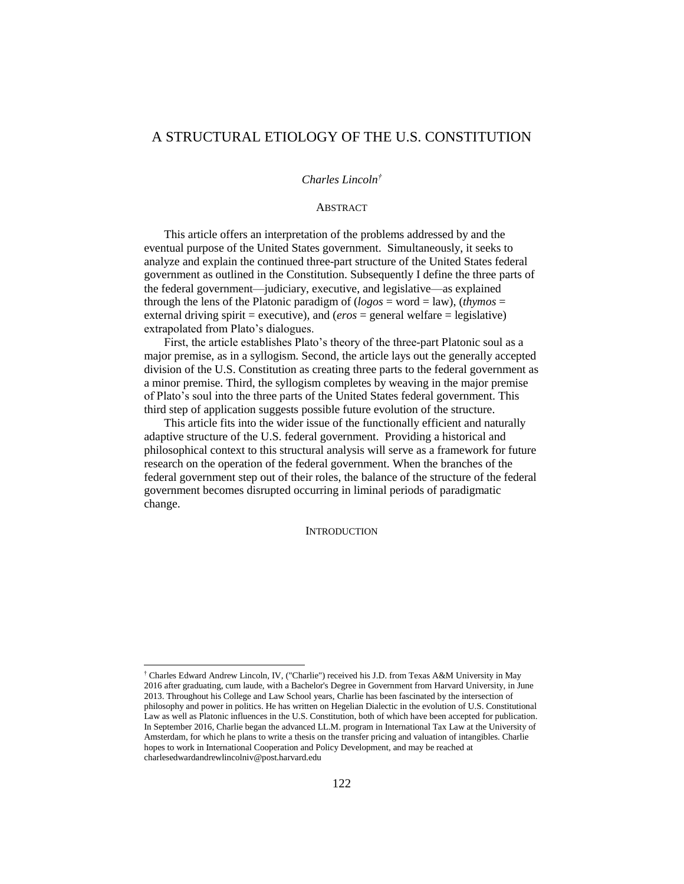# A STRUCTURAL ETIOLOGY OF THE U.S. CONSTITUTION

## *Charles Lincoln†*

## **ABSTRACT**

This article offers an interpretation of the problems addressed by and the eventual purpose of the United States government. Simultaneously, it seeks to analyze and explain the continued three-part structure of the United States federal government as outlined in the Constitution. Subsequently I define the three parts of the federal government—judiciary, executive, and legislative—as explained through the lens of the Platonic paradigm of (*logos* = word = law), (*thymos* = external driving spirit = executive), and  $(e\tau \circ s)$  = general welfare = legislative) extrapolated from Plato's dialogues.

First, the article establishes Plato's theory of the three-part Platonic soul as a major premise, as in a syllogism. Second, the article lays out the generally accepted division of the U.S. Constitution as creating three parts to the federal government as a minor premise. Third, the syllogism completes by weaving in the major premise of Plato's soul into the three parts of the United States federal government. This third step of application suggests possible future evolution of the structure.

This article fits into the wider issue of the functionally efficient and naturally adaptive structure of the U.S. federal government. Providing a historical and philosophical context to this structural analysis will serve as a framework for future research on the operation of the federal government. When the branches of the federal government step out of their roles, the balance of the structure of the federal government becomes disrupted occurring in liminal periods of paradigmatic change.

#### **INTRODUCTION**

<sup>†</sup> Charles Edward Andrew Lincoln, IV, ("Charlie") received his J.D. from Texas A&M University in May 2016 after graduating, cum laude, with a Bachelor's Degree in Government from Harvard University, in June 2013. Throughout his College and Law School years, Charlie has been fascinated by the intersection of philosophy and power in politics. He has written on Hegelian Dialectic in the evolution of U.S. Constitutional Law as well as Platonic influences in the U.S. Constitution, both of which have been accepted for publication. In September 2016, Charlie began the advanced LL.M. program in International Tax Law at the University of Amsterdam, for which he plans to write a thesis on the transfer pricing and valuation of intangibles. Charlie hopes to work in International Cooperation and Policy Development, and may be reached at charlesedwardandrewlincolniv@post.harvard.edu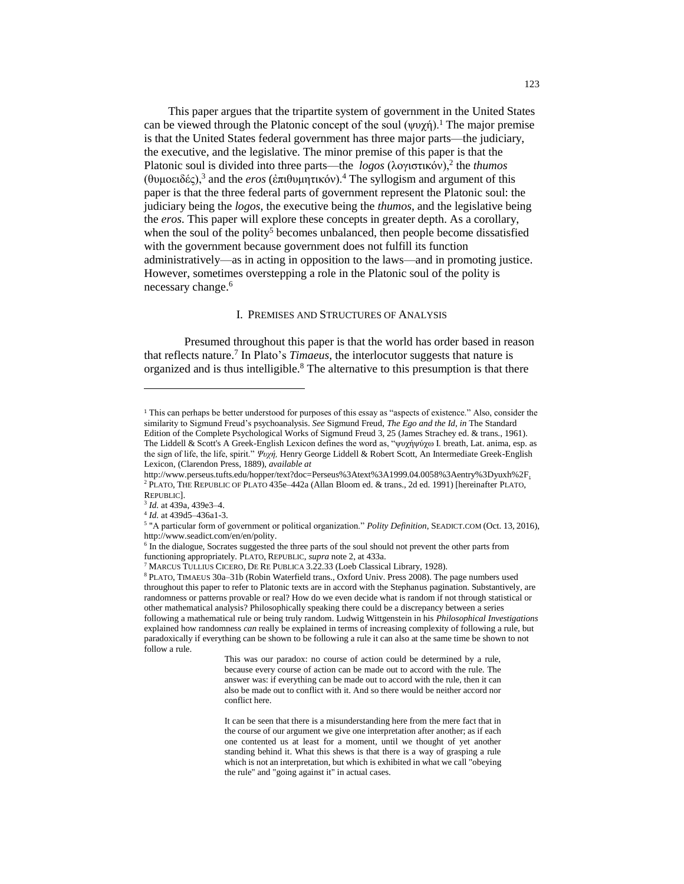This paper argues that the tripartite system of government in the United States can be viewed through the Platonic concept of the soul  $(\psi \psi \gamma)$ <sup>1</sup>. The major premise is that the United States federal government has three major parts—the judiciary, the executive, and the legislative. The minor premise of this paper is that the Platonic soul is divided into three parts—the *logos* (λογιστικόν),<sup>2</sup> the *thumos* (θυμοειδές),<sup>3</sup> and the *eros* (ἐπιθυμητικόν).<sup>4</sup> The syllogism and argument of this paper is that the three federal parts of government represent the Platonic soul: the judiciary being the *logos*, the executive being the *thumos*, and the legislative being the *eros*. This paper will explore these concepts in greater depth. As a corollary, when the soul of the polity<sup>5</sup> becomes unbalanced, then people become dissatisfied with the government because government does not fulfill its function administratively—as in acting in opposition to the laws—and in promoting justice. However, sometimes overstepping a role in the Platonic soul of the polity is necessary change.<sup>6</sup>

#### I. PREMISES AND STRUCTURES OF ANALYSIS

Presumed throughout this paper is that the world has order based in reason that reflects nature.<sup>7</sup> In Plato's *Timaeus*, the interlocutor suggests that nature is organized and is thus intelligible.<sup>8</sup> The alternative to this presumption is that there

<sup>1</sup> This can perhaps be better understood for purposes of this essay as "aspects of existence." Also, consider the similarity to Sigmund Freud's psychoanalysis. *See* Sigmund Freud, *The Ego and the Id*, *in* The Standard Edition of the Complete Psychological Works of Sigmund Freud 3, 25 (James Strachey ed. & trans., 1961). The Liddell & Scott's A Greek-English Lexicon defines the word as, "ψυχήψύχω I. breath, Lat. anima, esp. as the sign of life, the life, spirit." *Ψυχή,* Henry George Liddell & Robert Scott, An Intermediate Greek-English Lexicon, (Clarendon Press, 1889), *available at* 

http://www.perseus.tufts.edu/hopper/text?doc=Perseus%3Atext%3A1999.04.0058%3Aentry%3Dyuxh%2F. <sup>2</sup> PLATO, THE REPUBLIC OF PLATO 435e–442a (Allan Bloom ed. & trans., 2d ed. 1991) [hereinafter PLATO, REPUBLIC].

<sup>3</sup> *Id.* at 439a, 439e3–4.

<sup>4</sup> *Id.* at 439d5–436a1-3.

<sup>5</sup> "A particular form of government or political organization." *Polity Definition*, SEADICT.COM (Oct. 13, 2016), http://www.seadict.com/en/en/polity.

<sup>&</sup>lt;sup>6</sup> In the dialogue, Socrates suggested the three parts of the soul should not prevent the other parts from functioning appropriately. PLATO, REPUBLIC, *supra* note 2, at 433a.

<sup>7</sup> MARCUS TULLIUS CICERO, DE RE PUBLICA 3.22.33 (Loeb Classical Library, 1928).

<sup>8</sup> PLATO, TIMAEUS 30a–31b (Robin Waterfield trans., Oxford Univ. Press 2008). The page numbers used throughout this paper to refer to Platonic texts are in accord with the Stephanus pagination. Substantively, are randomness or patterns provable or real? How do we even decide what is random if not through statistical or other mathematical analysis? Philosophically speaking there could be a discrepancy between a series following a mathematical rule or being truly random. Ludwig Wittgenstein in his *Philosophical Investigations* explained how randomness *can* really be explained in terms of increasing complexity of following a rule, but paradoxically if everything can be shown to be following a rule it can also at the same time be shown to not follow a rule.

This was our paradox: no course of action could be determined by a rule, because every course of action can be made out to accord with the rule. The answer was: if everything can be made out to accord with the rule, then it can also be made out to conflict with it. And so there would be neither accord nor conflict here.

It can be seen that there is a misunderstanding here from the mere fact that in the course of our argument we give one interpretation after another; as if each one contented us at least for a moment, until we thought of yet another standing behind it. What this shews is that there is a way of grasping a rule which is not an interpretation, but which is exhibited in what we call "obeying the rule" and "going against it" in actual cases.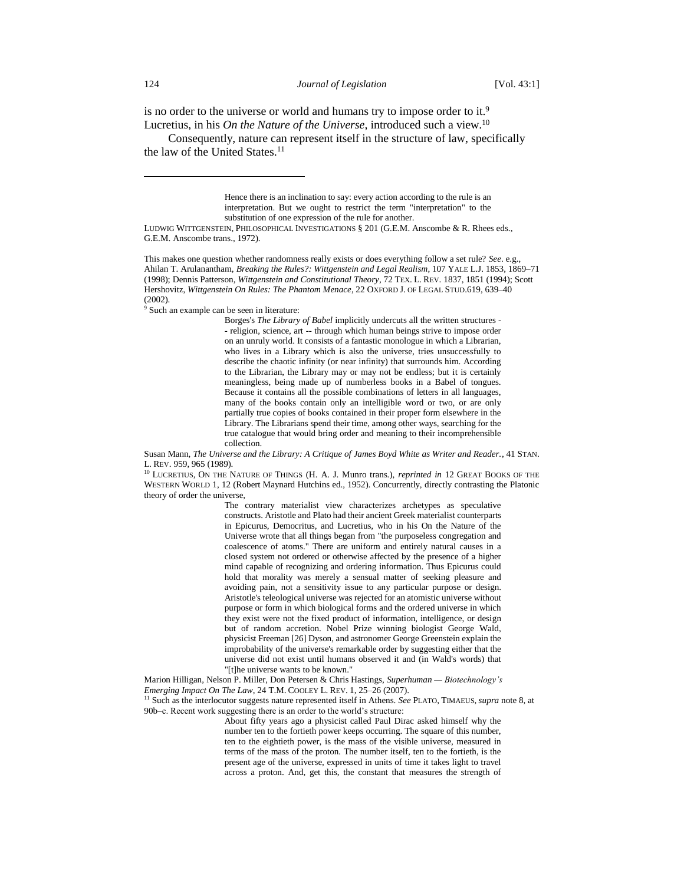is no order to the universe or world and humans try to impose order to it.<sup>9</sup> Lucretius, in his *On the Nature of the Universe*, introduced such a view.<sup>10</sup>

Consequently, nature can represent itself in the structure of law, specifically the law of the United States.<sup>11</sup>

> Hence there is an inclination to say: every action according to the rule is an interpretation. But we ought to restrict the term "interpretation" to the substitution of one expression of the rule for another.

LUDWIG WITTGENSTEIN, PHILOSOPHICAL INVESTIGATIONS § 201 (G.E.M. Anscombe & R. Rhees eds., G.E.M. Anscombe trans., 1972).

This makes one question whether randomness really exists or does everything follow a set rule? *See*. e.g., Ahilan T. Arulanantham, *Breaking the Rules?: Wittgenstein and Legal Realism*, 107 YALE L.J. 1853, 1869–71 (1998); Dennis Patterson, *Wittgenstein and Constitutional Theory*, 72 TEX. L. REV. 1837, 1851 (1994); Scott Hershovitz, *Wittgenstein On Rules: The Phantom Menace*, 22 OXFORD J. OF LEGAL STUD.619, 639–40 (2002).

<sup>9</sup> Such an example can be seen in literature:

Borges's *The Library of Babel* implicitly undercuts all the written structures - - religion, science, art -- through which human beings strive to impose order on an unruly world. It consists of a fantastic monologue in which a Librarian, who lives in a Library which is also the universe, tries unsuccessfully to describe the chaotic infinity (or near infinity) that surrounds him. According to the Librarian, the Library may or may not be endless; but it is certainly meaningless, being made up of numberless books in a Babel of tongues. Because it contains all the possible combinations of letters in all languages, many of the books contain only an intelligible word or two, or are only partially true copies of books contained in their proper form elsewhere in the Library. The Librarians spend their time, among other ways, searching for the true catalogue that would bring order and meaning to their incomprehensible collection.

Susan Mann, *The Universe and the Library: A Critique of James Boyd White as Writer and Reader.*, 41 STAN. L. REV. 959, 965 (1989).

<sup>10</sup> LUCRETIUS, ON THE NATURE OF THINGS (H. A. J. Munro trans.), *reprinted in* 12 GREAT BOOKS OF THE WESTERN WORLD 1, 12 (Robert Maynard Hutchins ed., 1952). Concurrently, directly contrasting the Platonic theory of order the universe,

The contrary materialist view characterizes archetypes as speculative constructs. Aristotle and Plato had their ancient Greek materialist counterparts in Epicurus, Democritus, and Lucretius, who in his On the Nature of the Universe wrote that all things began from "the purposeless congregation and coalescence of atoms." There are uniform and entirely natural causes in a closed system not ordered or otherwise affected by the presence of a higher mind capable of recognizing and ordering information. Thus Epicurus could hold that morality was merely a sensual matter of seeking pleasure and avoiding pain, not a sensitivity issue to any particular purpose or design. Aristotle's teleological universe was rejected for an atomistic universe without purpose or form in which biological forms and the ordered universe in which they exist were not the fixed product of information, intelligence, or design but of random accretion. Nobel Prize winning biologist George Wald, physicist Freeman [26] Dyson, and astronomer George Greenstein explain the improbability of the universe's remarkable order by suggesting either that the universe did not exist until humans observed it and (in Wald's words) that "[t]he universe wants to be known."

Marion Hilligan, Nelson P. Miller, Don Petersen & Chris Hastings, *Superhuman — Biotechnology's Emerging Impact On The Law*, 24 T.M. COOLEY L. REV. 1, 25–26 (2007). <sup>11</sup> Such as the interlocutor suggests nature represented itself in Athens. *See* PLATO, TIMAEUS, *supra* note 8, at

90b–c. Recent work suggesting there is an order to the world's structure:

About fifty years ago a physicist called Paul Dirac asked himself why the number ten to the fortieth power keeps occurring. The square of this number, ten to the eightieth power, is the mass of the visible universe, measured in terms of the mass of the proton. The number itself, ten to the fortieth, is the present age of the universe, expressed in units of time it takes light to travel across a proton. And, get this, the constant that measures the strength of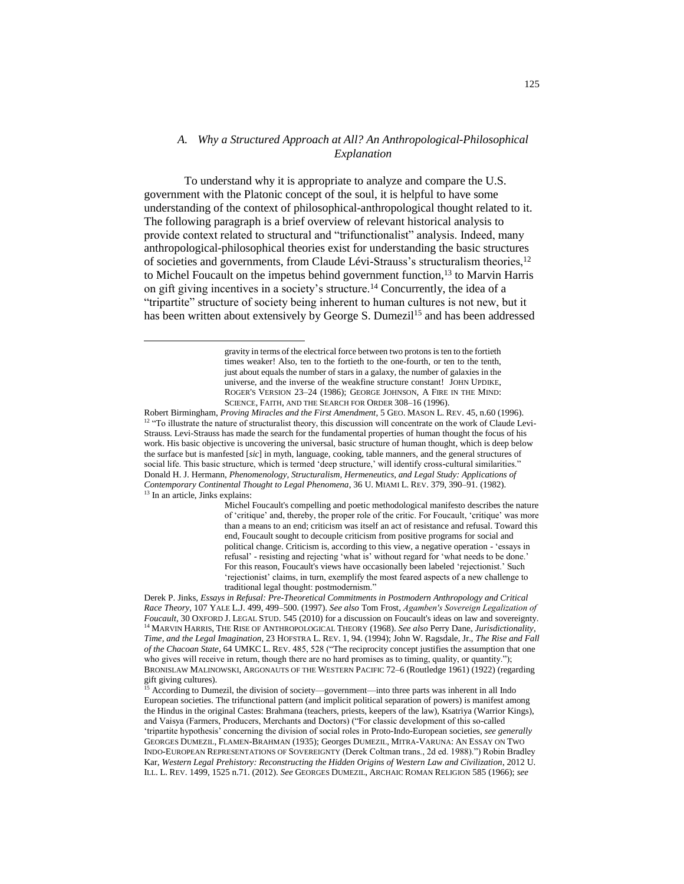# *A. Why a Structured Approach at All? An Anthropological-Philosophical Explanation*

To understand why it is appropriate to analyze and compare the U.S. government with the Platonic concept of the soul, it is helpful to have some understanding of the context of philosophical-anthropological thought related to it. The following paragraph is a brief overview of relevant historical analysis to provide context related to structural and "trifunctionalist" analysis. Indeed, many anthropological-philosophical theories exist for understanding the basic structures of societies and governments, from Claude Lévi-Strauss's structuralism theories,  $12$ to Michel Foucault on the impetus behind government function,<sup>13</sup> to Marvin Harris on gift giving incentives in a society's structure.<sup>14</sup> Concurrently, the idea of a "tripartite" structure of society being inherent to human cultures is not new, but it has been written about extensively by George S. Dumezil<sup>15</sup> and has been addressed

l

Robert Birmingham, *Proving Miracles and the First Amendment*, 5 GEO. MASON L. REV. 45, n.60 (1996). <sup>12</sup> "To illustrate the nature of structuralist theory, this discussion will concentrate on the work of Claude Levi-Strauss. Levi-Strauss has made the search for the fundamental properties of human thought the focus of his work. His basic objective is uncovering the universal, basic structure of human thought, which is deep below the surface but is manfested [*sic*] in myth, language, cooking, table manners, and the general structures of social life. This basic structure, which is termed 'deep structure,' will identify cross-cultural similarities." Donald H. J. Hermann, *Phenomenology, Structuralism, Hermeneutics, and Legal Study: Applications of Contemporary Continental Thought to Legal Phenomena*, 36 U. MIAMI L. REV. 379, 390–91. (1982). <sup>13</sup> In an article, Jinks explains:

> Michel Foucault's compelling and poetic methodological manifesto describes the nature of 'critique' and, thereby, the proper role of the critic. For Foucault, 'critique' was more than a means to an end; criticism was itself an act of resistance and refusal. Toward this end, Foucault sought to decouple criticism from positive programs for social and political change. Criticism is, according to this view, a negative operation - 'essays in refusal' - resisting and rejecting 'what is' without regard for 'what needs to be done.' For this reason, Foucault's views have occasionally been labeled 'rejectionist.' Such 'rejectionist' claims, in turn, exemplify the most feared aspects of a new challenge to traditional legal thought: postmodernism."

Derek P. Jinks, *Essays in Refusal: Pre-Theoretical Commitments in Postmodern Anthropology and Critical Race Theory*, 107 YALE L.J. 499, 499–500. (1997). *See also* Tom Frost, *Agamben′s Sovereign Legalization of Foucault*, 30 OXFORD J. LEGAL STUD. 545 (2010) for a discussion on Foucault's ideas on law and sovereignty. <sup>14</sup> MARVIN HARRIS, THE RISE OF ANTHROPOLOGICAL THEORY (1968). *See also* Perry Dane, *Jurisdictionality, Time, and the Legal Imagination*, 23 HOFSTRA L. REV. 1, 94. (1994); John W. Ragsdale, Jr., *The Rise and Fall of the Chacoan State*, 64 UMKC L. REV. 485, 528 ("The reciprocity concept justifies the assumption that one who gives will receive in return, though there are no hard promises as to timing, quality, or quantity."); BRONISLAW MALINOWSKI, ARGONAUTS OF THE WESTERN PACIFIC 72–6 (Routledge 1961) (1922) (regarding gift giving cultures).

According to Dumezil, the division of society—government—into three parts was inherent in all Indo European societies. The trifunctional pattern (and implicit political separation of powers) is manifest among the Hindus in the original Castes: Brahmana (teachers, priests, keepers of the law), Ksatriya (Warrior Kings), and Vaisya (Farmers, Producers, Merchants and Doctors) ("For classic development of this so-called 'tripartite hypothesis' concerning the division of social roles in Proto-Indo-European societies, *see generally* GEORGES DUMEZIL, FLAMEN-BRAHMAN (1935); Georges DUMEZIL, MITRA-VARUNA: AN ESSAY ON TWO INDO-EUROPEAN REPRESENTATIONS OF SOVEREIGNTY (Derek Coltman trans., 2d ed. 1988).") Robin Bradley Kar, *Western Legal Prehistory: Reconstructing the Hidden Origins of Western Law and Civilization*, 2012 U. ILL. L. REV. 1499, 1525 n.71. (2012). *See* GEORGES DUMEZIL, ARCHAIC ROMAN RELIGION 585 (1966); *see* 

gravity in terms of the electrical force between two protons is ten to the fortieth times weaker! Also, ten to the fortieth to the one-fourth, or ten to the tenth, just about equals the number of stars in a galaxy, the number of galaxies in the universe, and the inverse of the weakfine structure constant! JOHN UPDIKE, ROGER'S VERSION 23–24 (1986); GEORGE JOHNSON, A FIRE IN THE MIND: SCIENCE, FAITH, AND THE SEARCH FOR ORDER 308–16 (1996).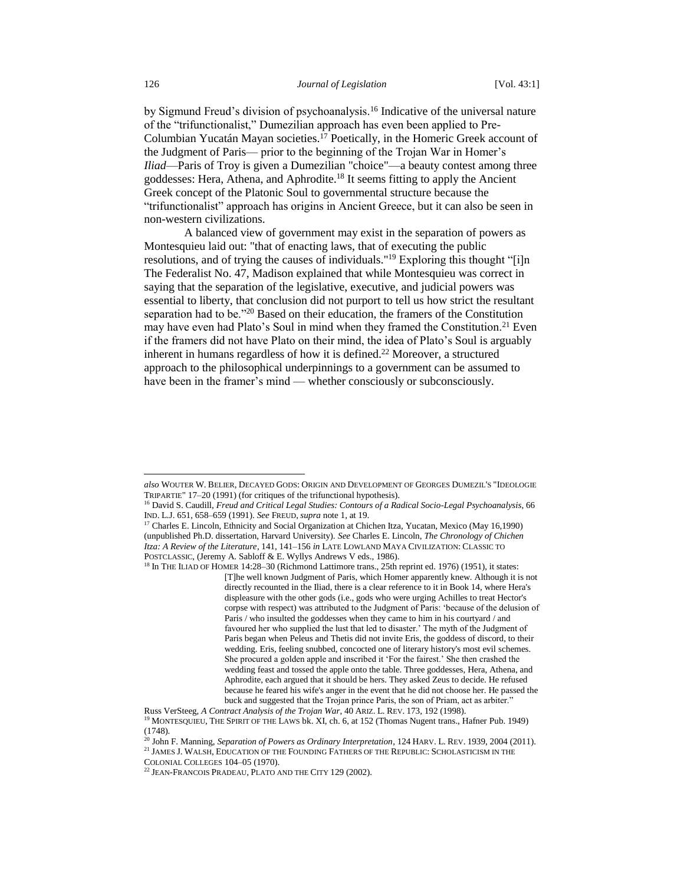by Sigmund Freud's division of psychoanalysis.<sup>16</sup> Indicative of the universal nature of the "trifunctionalist," Dumezilian approach has even been applied to Pre-Columbian Yucatán Mayan societies.<sup>17</sup> Poetically, in the Homeric Greek account of the Judgment of Paris— prior to the beginning of the Trojan War in Homer's *Iliad*—Paris of Troy is given a Dumezilian "choice"—a beauty contest among three goddesses: Hera, Athena, and Aphrodite.<sup>18</sup> It seems fitting to apply the Ancient Greek concept of the Platonic Soul to governmental structure because the "trifunctionalist" approach has origins in Ancient Greece, but it can also be seen in non-western civilizations.

A balanced view of government may exist in the separation of powers as Montesquieu laid out: "that of enacting laws, that of executing the public resolutions, and of trying the causes of individuals."<sup>19</sup> Exploring this thought "[i]n The Federalist No. 47, Madison explained that while Montesquieu was correct in saying that the separation of the legislative, executive, and judicial powers was essential to liberty, that conclusion did not purport to tell us how strict the resultant separation had to be."<sup>20</sup> Based on their education, the framers of the Constitution may have even had Plato's Soul in mind when they framed the Constitution.<sup>21</sup> Even if the framers did not have Plato on their mind, the idea of Plato's Soul is arguably inherent in humans regardless of how it is defined.<sup>22</sup> Moreover, a structured approach to the philosophical underpinnings to a government can be assumed to have been in the framer's mind — whether consciously or subconsciously.

*also* WOUTER W. BELIER, DECAYED GODS: ORIGIN AND DEVELOPMENT OF GEORGES DUMEZIL'S "IDEOLOGIE TRIPARTIE" 17–20 (1991) (for critiques of the trifunctional hypothesis).

<sup>&</sup>lt;sup>16</sup> David S. Caudill, *Freud and Critical Legal Studies: Contours of a Radical Socio-Legal Psychoanalysis*, 66 IND. L.J. 651, 658–659 (1991). *See* FREUD, *supra* note 1, at 19.

<sup>&</sup>lt;sup>17</sup> Charles E. Lincoln, Ethnicity and Social Organization at Chichen Itza, Yucatan, Mexico (May 16,1990) (unpublished Ph.D. dissertation, Harvard University). *See* Charles E. Lincoln, *The Chronology of Chichen Itza: A Review of the Literature*, 141, 141–156 *in* LATE LOWLAND MAYA CIVILIZATION: CLASSIC TO POSTCLASSIC, (Jeremy A. Sabloff & E. Wyllys Andrews V eds., 1986).

<sup>18</sup> In THE ILIAD OF HOMER 14:28–30 (Richmond Lattimore trans., 25th reprint ed. 1976) (1951), it states: [T]he well known Judgment of Paris, which Homer apparently knew. Although it is not directly recounted in the Iliad, there is a clear reference to it in Book 14, where Hera's displeasure with the other gods (i.e., gods who were urging Achilles to treat Hector's corpse with respect) was attributed to the Judgment of Paris: 'because of the delusion of Paris / who insulted the goddesses when they came to him in his courtyard / and favoured her who supplied the lust that led to disaster.' The myth of the Judgment of Paris began when Peleus and Thetis did not invite Eris, the goddess of discord, to their wedding. Eris, feeling snubbed, concocted one of literary history's most evil schemes. She procured a golden apple and inscribed it 'For the fairest.' She then crashed the wedding feast and tossed the apple onto the table. Three goddesses, Hera, Athena, and Aphrodite, each argued that it should be hers. They asked Zeus to decide. He refused because he feared his wife's anger in the event that he did not choose her. He passed the buck and suggested that the Trojan prince Paris, the son of Priam, act as arbiter."

Russ VerSteeg, *A Contract Analysis of the Trojan War*, 40 ARIZ. L. REV. 173, 192 (1998). <sup>19</sup> MONTESQUIEU, THE SPIRIT OF THE LAWS bk. XI, ch. 6, at 152 (Thomas Nugent trans., Hafner Pub. 1949) (1748).

<sup>20</sup> John F. Manning, *Separation of Powers as Ordinary Interpretation*, 124 HARV. L. REV. 1939, 2004 (2011).

<sup>21</sup> JAMES J. WALSH, EDUCATION OF THE FOUNDING FATHERS OF THE REPUBLIC: SCHOLASTICISM IN THE COLONIAL COLLEGES 104–05 (1970).

<sup>&</sup>lt;sup>22</sup> JEAN-FRANCOIS PRADEAU, PLATO AND THE CITY 129 (2002).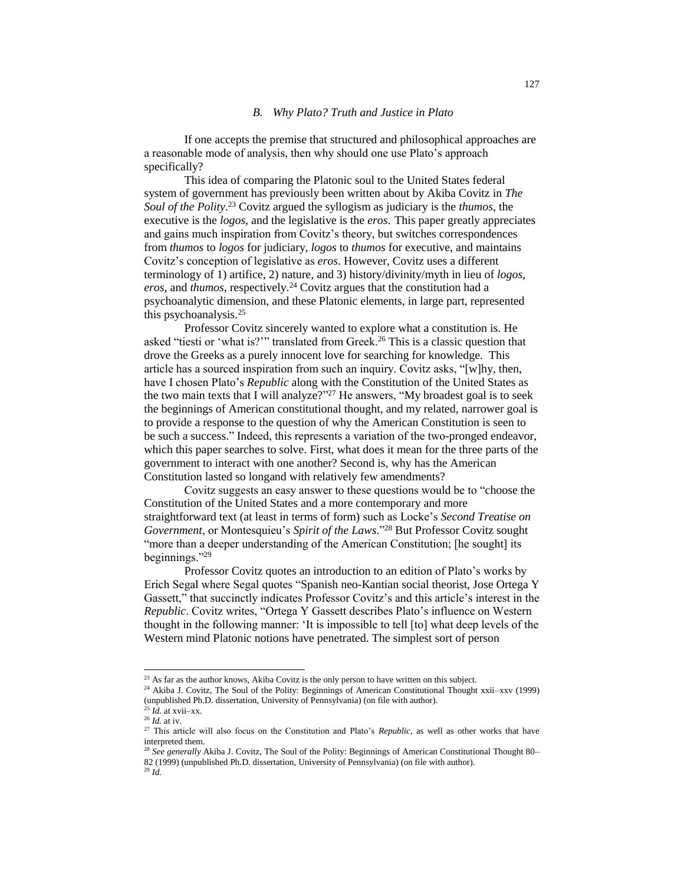## *B. Why Plato? Truth and Justice in Plato*

If one accepts the premise that structured and philosophical approaches are a reasonable mode of analysis, then why should one use Plato's approach specifically?

This idea of comparing the Platonic soul to the United States federal system of government has previously been written about by Akiba Covitz in *The Soul of the Polity*. <sup>23</sup> Covitz argued the syllogism as judiciary is the *thumos*, the executive is the *logos*, and the legislative is the *eros*. This paper greatly appreciates and gains much inspiration from Covitz's theory, but switches correspondences from *thumos* to *logos* for judiciary, *logos* to *thumos* for executive, and maintains Covitz's conception of legislative as *eros*. However, Covitz uses a different terminology of 1) artifice, 2) nature, and 3) history/divinity/myth in lieu of *logos*, *eros*, and *thumos*, respectively.<sup>24</sup> Covitz argues that the constitution had a psychoanalytic dimension, and these Platonic elements, in large part, represented this psychoanalysis.<sup>25</sup>

Professor Covitz sincerely wanted to explore what a constitution is. He asked "tiesti or 'what is?"" translated from Greek.<sup>26</sup> This is a classic question that drove the Greeks as a purely innocent love for searching for knowledge. This article has a sourced inspiration from such an inquiry. Covitz asks, "[w]hy, then, have I chosen Plato's *Republic* along with the Constitution of the United States as the two main texts that I will analyze?" <sup>27</sup> He answers, "My broadest goal is to seek the beginnings of American constitutional thought, and my related, narrower goal is to provide a response to the question of why the American Constitution is seen to be such a success." Indeed, this represents a variation of the two-pronged endeavor, which this paper searches to solve. First, what does it mean for the three parts of the government to interact with one another? Second is, why has the American Constitution lasted so longand with relatively few amendments?

Covitz suggests an easy answer to these questions would be to "choose the Constitution of the United States and a more contemporary and more straightforward text (at least in terms of form) such as Locke's *Second Treatise on Government*, or Montesquieu's *Spirit of the Laws*." <sup>28</sup> But Professor Covitz sought "more than a deeper understanding of the American Constitution; [he sought] its beginnings."<sup>29</sup>

Professor Covitz quotes an introduction to an edition of Plato's works by Erich Segal where Segal quotes "Spanish neo-Kantian social theorist, Jose Ortega Y Gassett," that succinctly indicates Professor Covitz's and this article's interest in the *Republic*. Covitz writes, "Ortega Y Gassett describes Plato's influence on Western thought in the following manner: 'It is impossible to tell [to] what deep levels of the Western mind Platonic notions have penetrated. The simplest sort of person

l

<sup>&</sup>lt;sup>23</sup> As far as the author knows, Akiba Covitz is the only person to have written on this subject.

<sup>&</sup>lt;sup>24</sup> Akiba J. Covitz, The Soul of the Polity: Beginnings of American Constitutional Thought xxii–xxv (1999) (unpublished Ph.D. dissertation, University of Pennsylvania) (on file with author).

 $^{25}$  *Id.* at xvii–xx.

<sup>26</sup> *Id.* at iv.

<sup>&</sup>lt;sup>27</sup> This article will also focus on the Constitution and Plato's *Republic*, as well as other works that have interpreted them.

<sup>&</sup>lt;sup>28</sup> See generally Akiba J. Covitz, The Soul of the Polity: Beginnings of American Constitutional Thought 80– 82 (1999) (unpublished Ph.D. dissertation, University of Pennsylvania) (on file with author). <sup>29</sup> *Id.*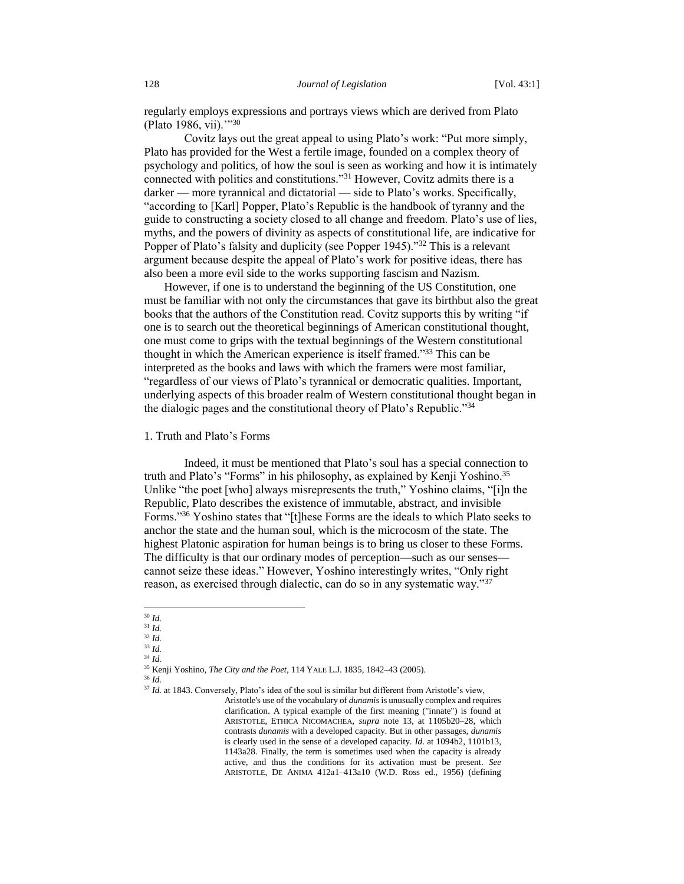regularly employs expressions and portrays views which are derived from Plato (Plato 1986, vii).'"<sup>30</sup>

Covitz lays out the great appeal to using Plato's work: "Put more simply, Plato has provided for the West a fertile image, founded on a complex theory of psychology and politics, of how the soul is seen as working and how it is intimately connected with politics and constitutions."<sup>31</sup> However, Covitz admits there is a darker — more tyrannical and dictatorial — side to Plato's works. Specifically, "according to [Karl] Popper, Plato's Republic is the handbook of tyranny and the guide to constructing a society closed to all change and freedom. Plato's use of lies, myths, and the powers of divinity as aspects of constitutional life, are indicative for Popper of Plato's falsity and duplicity (see Popper 1945)."<sup>32</sup> This is a relevant argument because despite the appeal of Plato's work for positive ideas, there has also been a more evil side to the works supporting fascism and Nazism.

However, if one is to understand the beginning of the US Constitution, one must be familiar with not only the circumstances that gave its birthbut also the great books that the authors of the Constitution read. Covitz supports this by writing "if one is to search out the theoretical beginnings of American constitutional thought, one must come to grips with the textual beginnings of the Western constitutional thought in which the American experience is itself framed."<sup>33</sup> This can be interpreted as the books and laws with which the framers were most familiar, "regardless of our views of Plato's tyrannical or democratic qualities. Important, underlying aspects of this broader realm of Western constitutional thought began in the dialogic pages and the constitutional theory of Plato's Republic."<sup>34</sup>

1. Truth and Plato's Forms

Indeed, it must be mentioned that Plato's soul has a special connection to truth and Plato's "Forms" in his philosophy, as explained by Kenji Yoshino.<sup>35</sup> Unlike "the poet [who] always misrepresents the truth," Yoshino claims, "[i]n the Republic, Plato describes the existence of immutable, abstract, and invisible Forms."<sup>36</sup> Yoshino states that "[t]hese Forms are the ideals to which Plato seeks to anchor the state and the human soul, which is the microcosm of the state. The highest Platonic aspiration for human beings is to bring us closer to these Forms. The difficulty is that our ordinary modes of perception—such as our senses cannot seize these ideas." However, Yoshino interestingly writes, "Only right reason, as exercised through dialectic, can do so in any systematic way."<sup>37</sup>

 $\overline{a}$ <sup>30</sup> *Id.*

<sup>31</sup> *Id.*

<sup>32</sup> *Id.* <sup>33</sup> *Id.*

<sup>34</sup> *Id.*

<sup>35</sup> Kenji Yoshino, *The City and the Poet*, 114 YALE L.J. 1835, 1842–43 (2005).

<sup>36</sup> *Id.*

<sup>&</sup>lt;sup>37</sup> *Id.* at 1843. Conversely, Plato's idea of the soul is similar but different from Aristotle's view, Aristotle's use of the vocabulary of *dunamis* is unusually complex and requires clarification. A typical example of the first meaning ("innate") is found at ARISTOTLE, ETHICA NICOMACHEA, *supra* note 13, at 1105b20–28, which contrasts *dunamis* with a developed capacity. But in other passages, *dunamis* is clearly used in the sense of a developed capacity. *Id*. at 1094b2, 1101b13, 1143a28. Finally, the term is sometimes used when the capacity is already active, and thus the conditions for its activation must be present. *See* ARISTOTLE, DE ANIMA 412a1–413a10 (W.D. Ross ed., 1956) (defining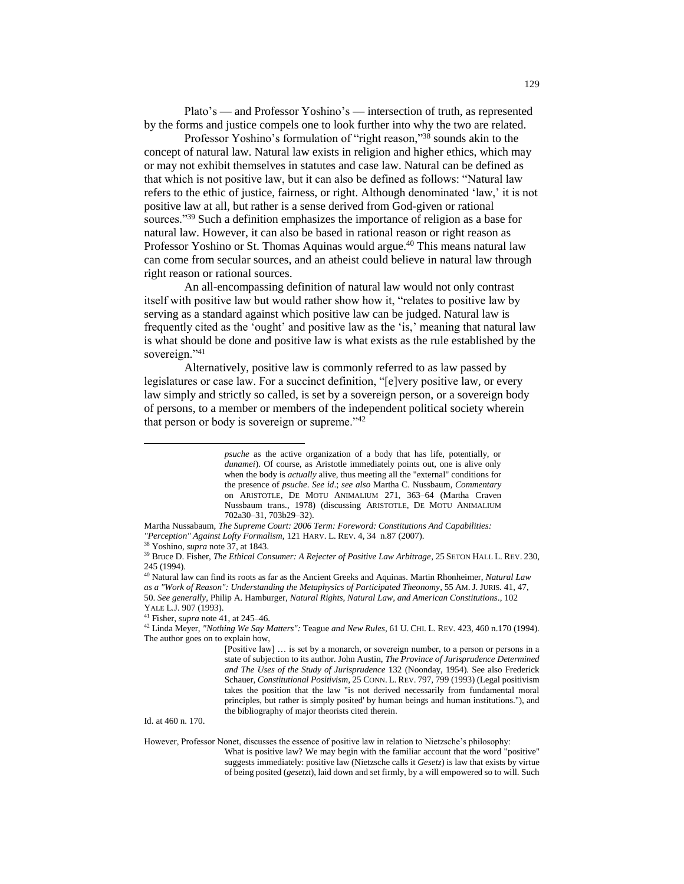Plato's — and Professor Yoshino's — intersection of truth, as represented by the forms and justice compels one to look further into why the two are related.

Professor Yoshino's formulation of "right reason,"<sup>38</sup> sounds akin to the concept of natural law. Natural law exists in religion and higher ethics, which may or may not exhibit themselves in statutes and case law. Natural can be defined as that which is not positive law, but it can also be defined as follows: "Natural law refers to the ethic of justice, fairness, or right. Although denominated 'law,' it is not positive law at all, but rather is a sense derived from God-given or rational sources."<sup>39</sup> Such a definition emphasizes the importance of religion as a base for natural law. However, it can also be based in rational reason or right reason as Professor Yoshino or St. Thomas Aquinas would argue.<sup>40</sup> This means natural law can come from secular sources, and an atheist could believe in natural law through right reason or rational sources.

An all-encompassing definition of natural law would not only contrast itself with positive law but would rather show how it, "relates to positive law by serving as a standard against which positive law can be judged. Natural law is frequently cited as the 'ought' and positive law as the 'is,' meaning that natural law is what should be done and positive law is what exists as the rule established by the sovereign."41

Alternatively, positive law is commonly referred to as law passed by legislatures or case law. For a succinct definition, "[e]very positive law, or every law simply and strictly so called, is set by a sovereign person, or a sovereign body of persons, to a member or members of the independent political society wherein that person or body is sovereign or supreme."<sup>42</sup>

l

Id. at 460 n. 170.

However, Professor Nonet, discusses the essence of positive law in relation to Nietzsche's philosophy:

What is positive law? We may begin with the familiar account that the word "positive" suggests immediately: positive law (Nietzsche calls it *Gesetz*) is law that exists by virtue of being posited (*gesetzt*), laid down and set firmly, by a will empowered so to will. Such

*psuche* as the active organization of a body that has life, potentially, or *dunamei*). Of course, as Aristotle immediately points out, one is alive only when the body is *actually* alive, thus meeting all the "external" conditions for the presence of *psuche*. *See id*.; *see also* Martha C. Nussbaum, *Commentary* on ARISTOTLE, DE MOTU ANIMALIUM 271, 363–64 (Martha Craven Nussbaum trans., 1978) (discussing ARISTOTLE, DE MOTU ANIMALIUM 702a30–31, 703b29–32).

Martha Nussabaum, *The Supreme Court: 2006 Term: Foreword: Constitutions And Capabilities: "Perception" Against Lofty Formalism*, 121 HARV. L. REV. 4, 34 n.87 (2007).

<sup>38</sup> Yoshino, *supra* note 37, at 1843*.*

<sup>&</sup>lt;sup>39</sup> Bruce D. Fisher, *The Ethical Consumer: A Rejecter of Positive Law Arbitrage*, 25 SETON HALL L. REV. 230, 245 (1994).

<sup>40</sup> Natural law can find its roots as far as the Ancient Greeks and Aquinas*.* Martin Rhonheimer, *Natural Law as a "Work of Reason": Understanding the Metaphysics of Participated Theonomy*, 55 AM. J. JURIS. 41, 47, 50. *See generally*, Philip A. Hamburger, *Natural Rights, Natural Law, and American Constitutions*., 102 YALE L.J. 907 (1993).

<sup>41</sup> Fisher, *supra* note 41, at 245–46.

<sup>42</sup> Linda Meyer, *"Nothing We Say Matters":* Teague *and New Rules,* 61 U. CHI. L. REV*.* 423, 460 n.170 (1994). The author goes on to explain how,

<sup>[</sup>Positive law] ... is set by a monarch, or sovereign number, to a person or persons in a state of subjection to its author. John Austin, *The Province of Jurisprudence Determined and The Uses of the Study of Jurisprudence* 132 (Noonday, 1954). See also Frederick Schauer, *Constitutional Positivism*, 25 CONN. L. REV. 797, 799 (1993) (Legal positivism takes the position that the law "is not derived necessarily from fundamental moral principles, but rather is simply posited' by human beings and human institutions."), and the bibliography of major theorists cited therein.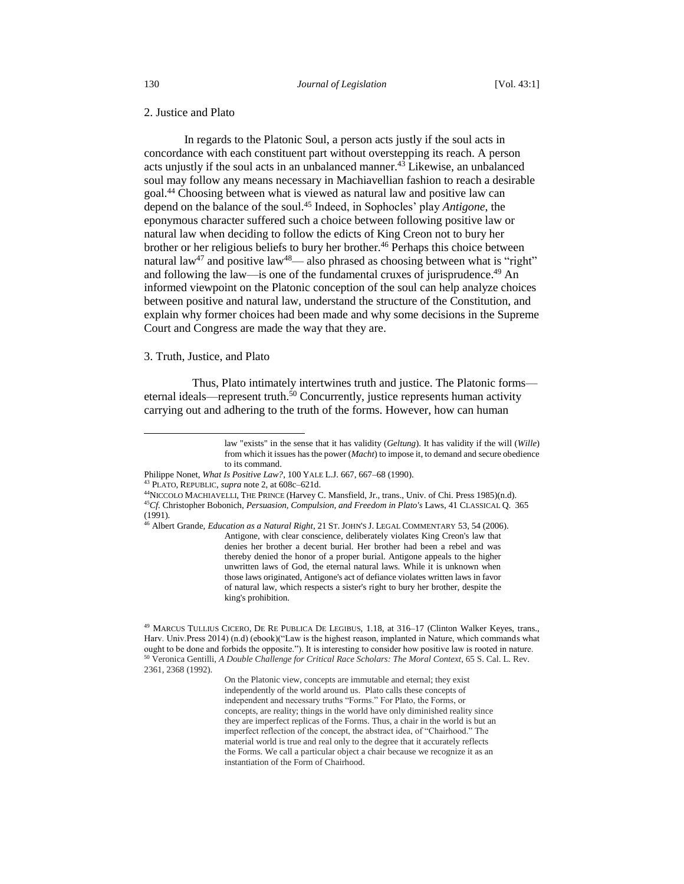## 2. Justice and Plato

In regards to the Platonic Soul, a person acts justly if the soul acts in concordance with each constituent part without overstepping its reach. A person acts unjustly if the soul acts in an unbalanced manner.<sup>43</sup> Likewise, an unbalanced soul may follow any means necessary in Machiavellian fashion to reach a desirable goal.<sup>44</sup> Choosing between what is viewed as natural law and positive law can depend on the balance of the soul.<sup>45</sup> Indeed, in Sophocles' play *Antigone*, the eponymous character suffered such a choice between following positive law or natural law when deciding to follow the edicts of King Creon not to bury her brother or her religious beliefs to bury her brother.<sup>46</sup> Perhaps this choice between natural law<sup>47</sup> and positive law<sup>48</sup>— also phrased as choosing between what is "right" and following the law—is one of the fundamental cruxes of jurisprudence.<sup>49</sup> An informed viewpoint on the Platonic conception of the soul can help analyze choices between positive and natural law, understand the structure of the Constitution, and explain why former choices had been made and why some decisions in the Supreme Court and Congress are made the way that they are.

## 3. Truth, Justice, and Plato

 $\overline{a}$ 

Thus, Plato intimately intertwines truth and justice. The Platonic forms eternal ideals—represent truth.<sup>50</sup> Concurrently, justice represents human activity carrying out and adhering to the truth of the forms. However, how can human

On the Platonic view, concepts are immutable and eternal; they exist independently of the world around us. Plato calls these concepts of independent and necessary truths "Forms." For Plato, the Forms, or concepts, are reality; things in the world have only diminished reality since they are imperfect replicas of the Forms. Thus, a chair in the world is but an imperfect reflection of the concept, the abstract idea, of "Chairhood." The material world is true and real only to the degree that it accurately reflects the Forms. We call a particular object a chair because we recognize it as an instantiation of the Form of Chairhood.

law "exists" in the sense that it has validity (*Geltung*). It has validity if the will (*Wille*) from which it issues has the power (*Macht*) to impose it, to demand and secure obedience to its command.

Philippe Nonet, *What Is Positive Law?*, 100 YALE L.J. 667, 667–68 (1990).

<sup>43</sup> PLATO, REPUBLIC, *supra* note 2, at 608c–621d.

<sup>44</sup>NICCOLO MACHIAVELLI, THE PRINCE (Harvey C. Mansfield, Jr., trans., Univ. of Chi. Press 1985)(n.d). <sup>45</sup>*Cf.* Christopher Bobonich, *Persuasion, Compulsion, and Freedom in Plato's* Laws, 41 CLASSICAL Q. 365 (1991).

<sup>46</sup> Albert Grande, *Education as a Natural Right*, 21 ST. JOHN'S J. LEGAL COMMENTARY 53, 54 (2006). Antigone, with clear conscience, deliberately violates King Creon's law that denies her brother a decent burial. Her brother had been a rebel and was thereby denied the honor of a proper burial. Antigone appeals to the higher unwritten laws of God, the eternal natural laws. While it is unknown when those laws originated, Antigone's act of defiance violates written laws in favor of natural law, which respects a sister's right to bury her brother, despite the king's prohibition.

<sup>49</sup> MARCUS TULLIUS CICERO, DE RE PUBLICA DE LEGIBUS, 1.18, at 316–17 (Clinton Walker Keyes, trans., Harv. Univ.Press 2014) (n.d) (ebook)("Law is the highest reason, implanted in Nature, which commands what ought to be done and forbids the opposite."). It is interesting to consider how positive law is rooted in nature. <sup>50</sup> Veronica Gentilli, *A Double Challenge for Critical Race Scholars: The Moral Context*, 65 S. Cal. L. Rev. 2361, 2368 (1992).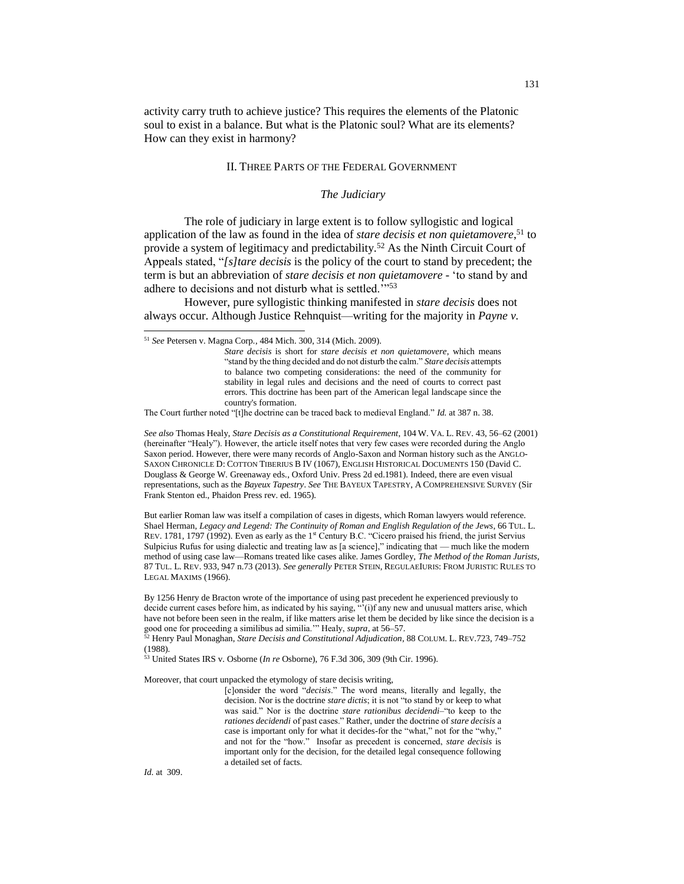activity carry truth to achieve justice? This requires the elements of the Platonic soul to exist in a balance. But what is the Platonic soul? What are its elements? How can they exist in harmony?

## II. THREE PARTS OF THE FEDERAL GOVERNMENT

#### *The Judiciary*

The role of judiciary in large extent is to follow syllogistic and logical application of the law as found in the idea of *stare decisis et non quietamovere*, <sup>51</sup> to provide a system of legitimacy and predictability.<sup>52</sup> As the Ninth Circuit Court of Appeals stated, "*[s]tare decisis* is the policy of the court to stand by precedent; the term is but an abbreviation of *stare decisis et non quietamovere* - 'to stand by and adhere to decisions and not disturb what is settled.""53

However, pure syllogistic thinking manifested in *stare decisis* does not always occur. Although Justice Rehnquist—writing for the majority in *Payne v.* 

The Court further noted "[t]he doctrine can be traced back to medieval England." *Id.* at 387 n. 38.

*See also* Thomas Healy, *Stare Decisis as a Constitutional Requirement*, 104 W. VA. L. REV. 43, 56–62 (2001) (hereinafter "Healy"). However, the article itself notes that very few cases were recorded during the Anglo Saxon period. However, there were many records of Anglo-Saxon and Norman history such as the ANGLO-SAXON CHRONICLE D: COTTON TIBERIUS B IV (1067), ENGLISH HISTORICAL DOCUMENTS 150 (David C. Douglass & George W. Greenaway eds., Oxford Univ. Press 2d ed.1981). Indeed, there are even visual representations, such as the *Bayeux Tapestry*. *See* THE BAYEUX TAPESTRY, A COMPREHENSIVE SURVEY (Sir Frank Stenton ed., Phaidon Press rev. ed. 1965).

But earlier Roman law was itself a compilation of cases in digests, which Roman lawyers would reference. Shael Herman, *Legacy and Legend: The Continuity of Roman and English Regulation of the Jews*, 66 TUL. L. REV. 1781, 1797 (1992). Even as early as the 1<sup>st</sup> Century B.C. "Cicero praised his friend, the jurist Servius Sulpicius Rufus for using dialectic and treating law as [a science]," indicating that — much like the modern method of using case law—Romans treated like cases alike. James Gordley, *The Method of the Roman Jurists*, 87 TUL. L. REV. 933, 947 n.73 (2013). *See generally* PETER STEIN, REGULAEIURIS: FROM JURISTIC RULES TO LEGAL MAXIMS (1966).

By 1256 Henry de Bracton wrote of the importance of using past precedent he experienced previously to decide current cases before him, as indicated by his saying, "'(i)f any new and unusual matters arise, which have not before been seen in the realm, if like matters arise let them be decided by like since the decision is a good one for proceeding a similibus ad similia.'" Healy, *supra*, at 56–57.

<sup>52</sup> Henry Paul Monaghan, *Stare Decisis and Constitutional Adjudication*, 88 COLUM. L. REV.723, 749–752 (1988).

<sup>53</sup> United States IRS v. Osborne (*In re* Osborne), 76 F.3d 306, 309 (9th Cir. 1996).

Moreover, that court unpacked the etymology of stare decisis writing,

[c]onsider the word "*decisis*." The word means, literally and legally, the decision. Nor is the doctrine *stare dictis*; it is not "to stand by or keep to what was said." Nor is the doctrine *stare rationibus decidendi*–"to keep to the *rationes decidendi* of past cases." Rather, under the doctrine of *stare decisis* a case is important only for what it decides-for the "what," not for the "why," and not for the "how." Insofar as precedent is concerned, *stare decisis* is important only for the decision, for the detailed legal consequence following a detailed set of facts.

*Id.* at 309.

<sup>51</sup> *See* Petersen v. Magna Corp*.*, 484 Mich. 300, 314 (Mich. 2009).

*Stare decisis* is short for *stare decisis et non quietamovere*, which means "stand by the thing decided and do not disturb the calm." *Stare decisis* attempts to balance two competing considerations: the need of the community for stability in legal rules and decisions and the need of courts to correct past errors. This doctrine has been part of the American legal landscape since the country's formation.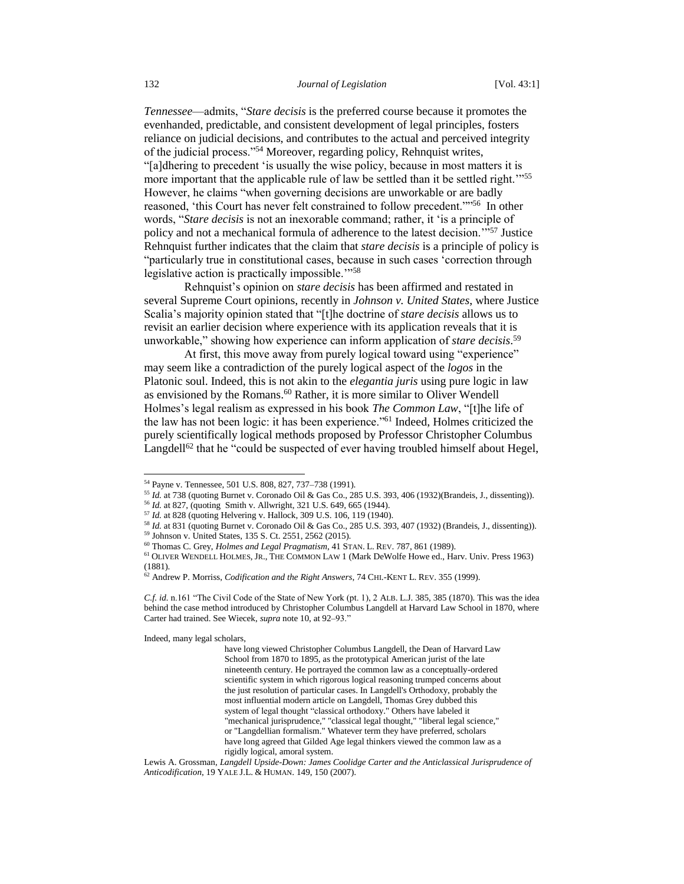*Tennessee*—admits, "*Stare decisis* is the preferred course because it promotes the evenhanded, predictable, and consistent development of legal principles, fosters reliance on judicial decisions, and contributes to the actual and perceived integrity of the judicial process."<sup>54</sup> Moreover, regarding policy, Rehnquist writes, "[a]dhering to precedent 'is usually the wise policy, because in most matters it is more important that the applicable rule of law be settled than it be settled right.'"<sup>55</sup> However, he claims "when governing decisions are unworkable or are badly reasoned, 'this Court has never felt constrained to follow precedent.""<sup>56</sup> In other words, "*Stare decisis* is not an inexorable command; rather, it 'is a principle of policy and not a mechanical formula of adherence to the latest decision.'"<sup>57</sup> Justice Rehnquist further indicates that the claim that *stare decisis* is a principle of policy is "particularly true in constitutional cases, because in such cases 'correction through legislative action is practically impossible.'"<sup>58</sup>

Rehnquist's opinion on *stare decisis* has been affirmed and restated in several Supreme Court opinions, recently in *Johnson v. United States*, where Justice Scalia's majority opinion stated that "[t]he doctrine of *stare decisis* allows us to revisit an earlier decision where experience with its application reveals that it is unworkable," showing how experience can inform application of *stare decisis*. 59

At first, this move away from purely logical toward using "experience" may seem like a contradiction of the purely logical aspect of the *logos* in the Platonic soul. Indeed, this is not akin to the *elegantia juris* using pure logic in law as envisioned by the Romans.<sup>60</sup> Rather, it is more similar to Oliver Wendell Holmes's legal realism as expressed in his book *The Common Law*, "[t]he life of the law has not been logic: it has been experience."<sup>61</sup> Indeed, Holmes criticized the purely scientifically logical methods proposed by Professor Christopher Columbus Langdell<sup>62</sup> that he "could be suspected of ever having troubled himself about Hegel,

Indeed, many legal scholars,

<sup>54</sup> Payne v. Tennessee, 501 U.S. 808, 827, 737–738 (1991).

<sup>55</sup> *Id.* at 738 (quoting Burnet v. Coronado Oil & Gas Co., 285 U.S. 393, 406 (1932)(Brandeis, J., dissenting)).

<sup>56</sup> *Id.* at 827, (quoting Smith v. Allwright, 321 U.S. 649, 665 (1944).

<sup>57</sup> *Id.* at 828 (quoting Helvering v. Hallock, 309 U.S. 106, 119 (1940).

<sup>58</sup> *Id.* at 831 (quoting Burnet v. Coronado Oil & Gas Co., 285 U.S. 393, 407 (1932) (Brandeis, J., dissenting)). <sup>59</sup> Johnson v. United States, 135 S. Ct. 2551, 2562 (2015).

<sup>60</sup> Thomas C. Grey, *Holmes and Legal Pragmatism*, 41 STAN. L. REV. 787, 861 (1989).

<sup>61</sup> OLIVER WENDELL HOLMES, JR., THE COMMON LAW 1 (Mark DeWolfe Howe ed., Harv. Univ. Press 1963) (1881).

<sup>62</sup> Andrew P. Morriss, *Codification and the Right Answers*, 74 CHI.-KENT L. REV. 355 (1999).

*C.f. id.* n.161 "The Civil Code of the State of New York (pt. 1), 2 ALB. L.J. 385, 385 (1870). This was the idea behind the case method introduced by Christopher Columbus Langdell at Harvard Law School in 1870, where Carter had trained. See Wiecek, *supra* note 10, at 92–93."

have long viewed Christopher Columbus Langdell, the Dean of Harvard Law School from 1870 to 1895, as the prototypical American jurist of the late nineteenth century. He portrayed the common law as a conceptually-ordered scientific system in which rigorous logical reasoning trumped concerns about the just resolution of particular cases. In Langdell's Orthodoxy, probably the most influential modern article on Langdell, Thomas Grey dubbed this system of legal thought "classical orthodoxy." Others have labeled it "mechanical jurisprudence," "classical legal thought," "liberal legal science," or "Langdellian formalism." Whatever term they have preferred, scholars have long agreed that Gilded Age legal thinkers viewed the common law as a rigidly logical, amoral system.

Lewis A. Grossman, *Langdell Upside-Down: James Coolidge Carter and the Anticlassical Jurisprudence of Anticodification*, 19 YALE J.L. & HUMAN. 149, 150 (2007).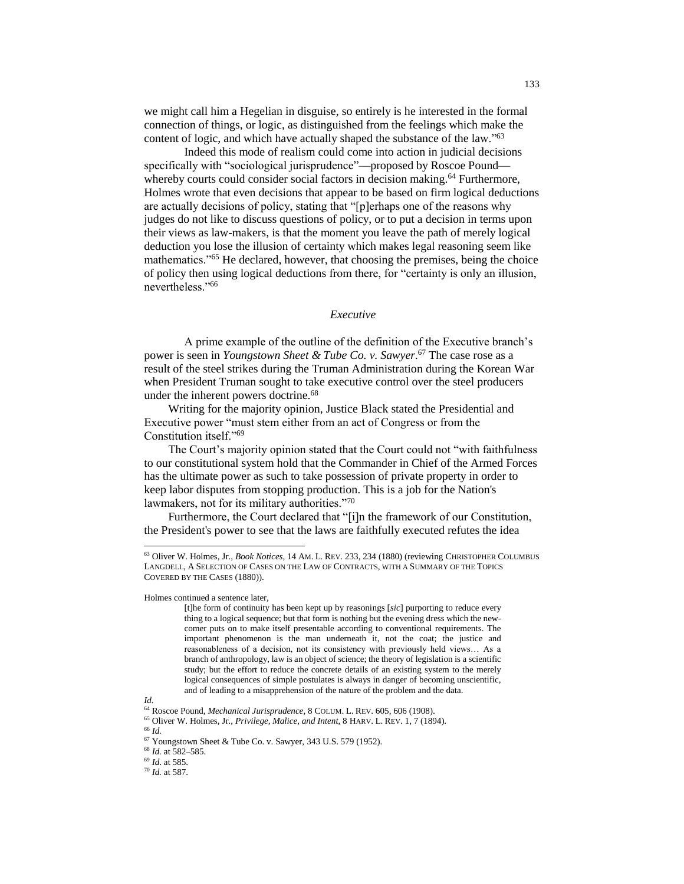we might call him a Hegelian in disguise, so entirely is he interested in the formal connection of things, or logic, as distinguished from the feelings which make the content of logic, and which have actually shaped the substance of the law."<sup>63</sup>

Indeed this mode of realism could come into action in judicial decisions specifically with "sociological jurisprudence"—proposed by Roscoe Pound whereby courts could consider social factors in decision making.<sup>64</sup> Furthermore, Holmes wrote that even decisions that appear to be based on firm logical deductions are actually decisions of policy, stating that "[p]erhaps one of the reasons why judges do not like to discuss questions of policy, or to put a decision in terms upon their views as law-makers, is that the moment you leave the path of merely logical deduction you lose the illusion of certainty which makes legal reasoning seem like mathematics."<sup>65</sup> He declared, however, that choosing the premises, being the choice of policy then using logical deductions from there, for "certainty is only an illusion, nevertheless."<sup>66</sup>

## *Executive*

A prime example of the outline of the definition of the Executive branch's power is seen in *Youngstown Sheet & Tube Co. v. Sawyer*. <sup>67</sup> The case rose as a result of the steel strikes during the Truman Administration during the Korean War when President Truman sought to take executive control over the steel producers under the inherent powers doctrine.<sup>68</sup>

Writing for the majority opinion, Justice Black stated the Presidential and Executive power "must stem either from an act of Congress or from the Constitution itself."<sup>69</sup>

The Court's majority opinion stated that the Court could not "with faithfulness to our constitutional system hold that the Commander in Chief of the Armed Forces has the ultimate power as such to take possession of private property in order to keep labor disputes from stopping production. This is a job for the Nation's lawmakers, not for its military authorities."<sup>70</sup>

Furthermore, the Court declared that "[i]n the framework of our Constitution, the President's power to see that the laws are faithfully executed refutes the idea

Holmes continued a sentence later,

<sup>63</sup> Oliver W. Holmes, Jr., *Book Notices*, 14 AM. L. REV. 233, 234 (1880) (reviewing CHRISTOPHER COLUMBUS LANGDELL, A SELECTION OF CASES ON THE LAW OF CONTRACTS, WITH A SUMMARY OF THE TOPICS COVERED BY THE CASES (1880)).

<sup>[</sup>t]he form of continuity has been kept up by reasonings [*sic*] purporting to reduce every thing to a logical sequence; but that form is nothing but the evening dress which the newcomer puts on to make itself presentable according to conventional requirements. The important phenomenon is the man underneath it, not the coat; the justice and reasonableness of a decision, not its consistency with previously held views… As a branch of anthropology, law is an object of science; the theory of legislation is a scientific study; but the effort to reduce the concrete details of an existing system to the merely logical consequences of simple postulates is always in danger of becoming unscientific, and of leading to a misapprehension of the nature of the problem and the data.

*Id.*

<sup>64</sup> Roscoe Pound, *Mechanical Jurisprudence*, 8 COLUM. L. REV. 605, 606 (1908).

<sup>65</sup> Oliver W. Holmes, Jr., *Privilege, Malice, and Intent*, 8 HARV. L. REV. 1, 7 (1894).

<sup>66</sup> *Id.*

 $67$  Youngstown Sheet & Tube Co. v. Sawyer, 343 U.S. 579 (1952).

<sup>68</sup> *Id.* at 582–585.

<sup>69</sup> *Id*. at 585.

<sup>70</sup> *Id.* at 587.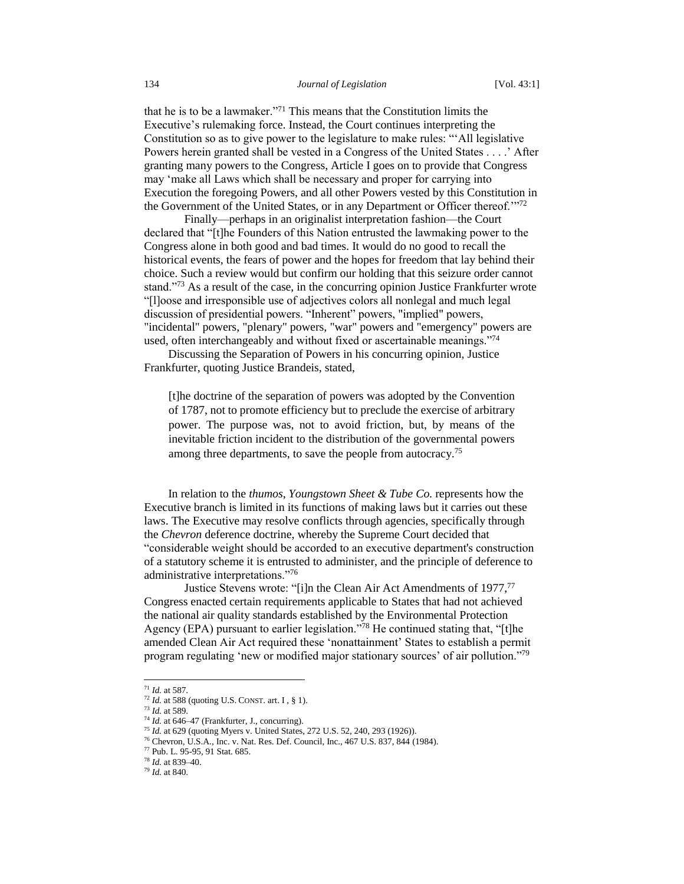that he is to be a lawmaker."<sup>71</sup> This means that the Constitution limits the Executive's rulemaking force. Instead, the Court continues interpreting the Constitution so as to give power to the legislature to make rules: "'All legislative Powers herein granted shall be vested in a Congress of the United States . . . .' After granting many powers to the Congress, Article I goes on to provide that Congress may 'make all Laws which shall be necessary and proper for carrying into Execution the foregoing Powers, and all other Powers vested by this Constitution in the Government of the United States, or in any Department or Officer thereof.'"<sup>72</sup>

Finally—perhaps in an originalist interpretation fashion—the Court declared that "[t]he Founders of this Nation entrusted the lawmaking power to the Congress alone in both good and bad times. It would do no good to recall the historical events, the fears of power and the hopes for freedom that lay behind their choice. Such a review would but confirm our holding that this seizure order cannot stand."<sup>73</sup> As a result of the case, in the concurring opinion Justice Frankfurter wrote "[l]oose and irresponsible use of adjectives colors all nonlegal and much legal discussion of presidential powers. "Inherent" powers, "implied" powers, "incidental" powers, "plenary" powers, "war" powers and "emergency" powers are used, often interchangeably and without fixed or ascertainable meanings."<sup>74</sup>

Discussing the Separation of Powers in his concurring opinion, Justice Frankfurter, quoting Justice Brandeis, stated,

[t]he doctrine of the separation of powers was adopted by the Convention of 1787, not to promote efficiency but to preclude the exercise of arbitrary power. The purpose was, not to avoid friction, but, by means of the inevitable friction incident to the distribution of the governmental powers among three departments, to save the people from autocracy.<sup>75</sup>

In relation to the *thumos*, *Youngstown Sheet & Tube Co.* represents how the Executive branch is limited in its functions of making laws but it carries out these laws. The Executive may resolve conflicts through agencies, specifically through the *Chevron* deference doctrine, whereby the Supreme Court decided that "considerable weight should be accorded to an executive department's construction of a statutory scheme it is entrusted to administer, and the principle of deference to administrative interpretations."<sup>76</sup>

Justice Stevens wrote: "[i]n the Clean Air Act Amendments of 1977,<sup>77</sup> Congress enacted certain requirements applicable to States that had not achieved the national air quality standards established by the Environmental Protection Agency (EPA) pursuant to earlier legislation."<sup>78</sup> He continued stating that, "[t]he amended Clean Air Act required these 'nonattainment' States to establish a permit program regulating 'new or modified major stationary sources' of air pollution."<sup>79</sup>

<sup>71</sup> *Id.* at 587.

<sup>72</sup> *Id.* at 588 (quoting U.S. CONST. art. I , § 1).

<sup>73</sup> *Id.* at 589.

<sup>74</sup> *Id.* at 646–47 (Frankfurter, J., concurring).

<sup>75</sup> *Id.* at 629 (quoting Myers v. United States, 272 U.S. 52, 240, 293 (1926)).

<sup>76</sup> Chevron, U.S.A., Inc. v. Nat. Res. Def. Council, Inc., 467 U.S. 837, 844 (1984).

<sup>77</sup> Pub. L. 95-95, 91 Stat. 685.

<sup>78</sup> *Id.* at 839–40.

<sup>79</sup> *Id.* at 840.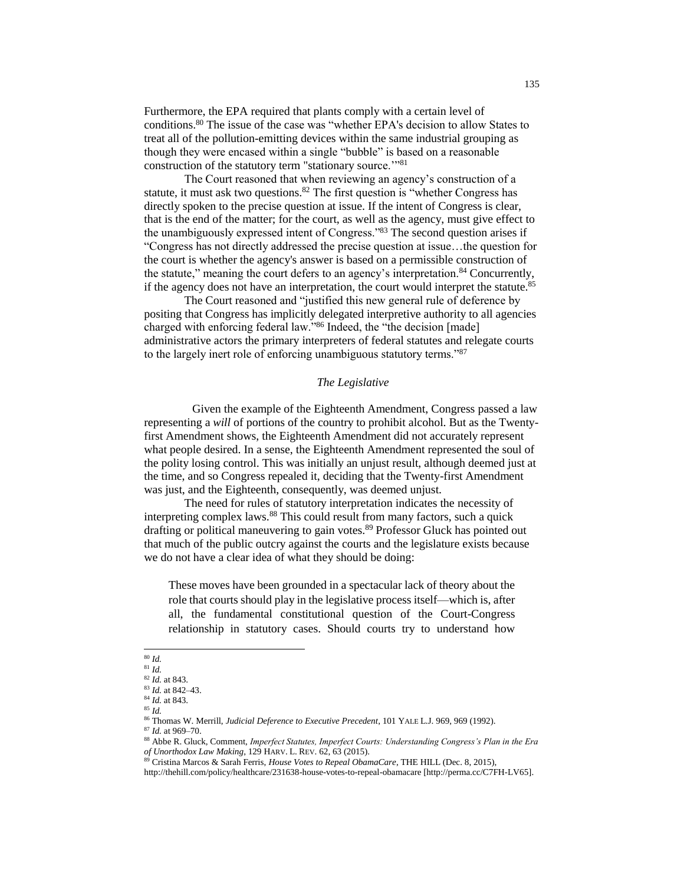Furthermore, the EPA required that plants comply with a certain level of conditions.<sup>80</sup> The issue of the case was "whether EPA's decision to allow States to treat all of the pollution-emitting devices within the same industrial grouping as though they were encased within a single "bubble" is based on a reasonable construction of the statutory term "stationary source.'"<sup>81</sup>

The Court reasoned that when reviewing an agency's construction of a statute, it must ask two questions. $82$  The first question is "whether Congress has directly spoken to the precise question at issue. If the intent of Congress is clear, that is the end of the matter; for the court, as well as the agency, must give effect to the unambiguously expressed intent of Congress."<sup>83</sup> The second question arises if "Congress has not directly addressed the precise question at issue…the question for the court is whether the agency's answer is based on a permissible construction of the statute," meaning the court defers to an agency's interpretation.<sup>84</sup> Concurrently, if the agency does not have an interpretation, the court would interpret the statute.<sup>85</sup>

The Court reasoned and "justified this new general rule of deference by positing that Congress has implicitly delegated interpretive authority to all agencies charged with enforcing federal law."<sup>86</sup> Indeed, the "the decision [made] administrative actors the primary interpreters of federal statutes and relegate courts to the largely inert role of enforcing unambiguous statutory terms."<sup>87</sup>

## *The Legislative*

Given the example of the Eighteenth Amendment, Congress passed a law representing a *will* of portions of the country to prohibit alcohol. But as the Twentyfirst Amendment shows, the Eighteenth Amendment did not accurately represent what people desired. In a sense, the Eighteenth Amendment represented the soul of the polity losing control. This was initially an unjust result, although deemed just at the time, and so Congress repealed it, deciding that the Twenty-first Amendment was just, and the Eighteenth, consequently, was deemed unjust.

The need for rules of statutory interpretation indicates the necessity of interpreting complex laws.<sup>88</sup> This could result from many factors, such a quick drafting or political maneuvering to gain votes.<sup>89</sup> Professor Gluck has pointed out that much of the public outcry against the courts and the legislature exists because we do not have a clear idea of what they should be doing:

These moves have been grounded in a spectacular lack of theory about the role that courts should play in the legislative process itself—which is, after all, the fundamental constitutional question of the Court-Congress relationship in statutory cases. Should courts try to understand how

 $\overline{a}$ <sup>80</sup> *Id.*

<sup>81</sup> *Id.*

<sup>82</sup> *Id.* at 843.

<sup>83</sup> *Id.* at 842–43. <sup>84</sup> *Id.* at 843.

<sup>85</sup> *Id.*

<sup>86</sup> Thomas W. Merrill, *Judicial Deference to Executive Precedent*, 101 YALE L.J. 969, 969 (1992).

<sup>87</sup> *Id.* at 969–70.

<sup>88</sup> Abbe R. Gluck, Comment, *Imperfect Statutes, Imperfect Courts: Understanding Congress's Plan in the Era of Unorthodox Law Making*, 129 HARV. L. REV. 62, 63 (2015).

<sup>89</sup> Cristina Marcos & Sarah Ferris, *House Votes to Repeal ObamaCare*, THE HILL (Dec. 8, 2015),

http://thehill.com/policy/healthcare/231638-house-votes-to-repeal-obamacare [http://perma.cc/C7FH-LV65].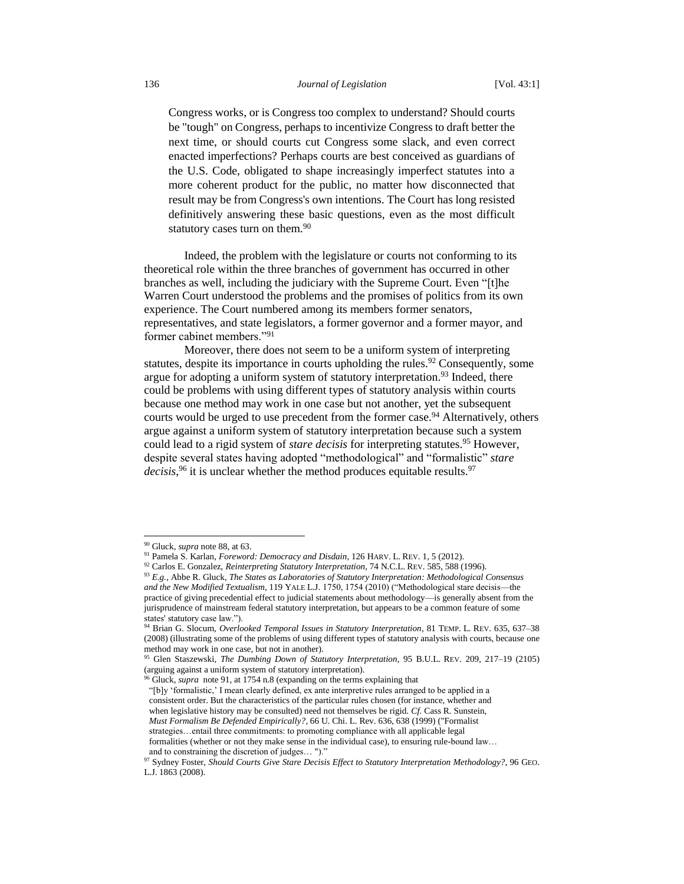Congress works, or is Congress too complex to understand? Should courts be "tough" on Congress, perhaps to incentivize Congress to draft better the next time, or should courts cut Congress some slack, and even correct enacted imperfections? Perhaps courts are best conceived as guardians of the U.S. Code, obligated to shape increasingly imperfect statutes into a more coherent product for the public, no matter how disconnected that result may be from Congress's own intentions. The Court has long resisted definitively answering these basic questions, even as the most difficult statutory cases turn on them.<sup>90</sup>

Indeed, the problem with the legislature or courts not conforming to its theoretical role within the three branches of government has occurred in other branches as well, including the judiciary with the Supreme Court. Even "[t]he Warren Court understood the problems and the promises of politics from its own experience. The Court numbered among its members former senators, representatives, and state legislators, a former governor and a former mayor, and former cabinet members."<sup>91</sup>

Moreover, there does not seem to be a uniform system of interpreting statutes, despite its importance in courts upholding the rules.<sup>92</sup> Consequently, some argue for adopting a uniform system of statutory interpretation.<sup>93</sup> Indeed, there could be problems with using different types of statutory analysis within courts because one method may work in one case but not another, yet the subsequent courts would be urged to use precedent from the former case.<sup>94</sup> Alternatively, others argue against a uniform system of statutory interpretation because such a system could lead to a rigid system of *stare decisis* for interpreting statutes.<sup>95</sup> However, despite several states having adopted "methodological" and "formalistic" *stare decisis*, <sup>96</sup> it is unclear whether the method produces equitable results.<sup>97</sup>

l

<sup>90</sup> Gluck, *supra* note 88, at 63.

<sup>91</sup> Pamela S. Karlan, *Foreword: Democracy and Disdain*, 126 HARV. L. REV. 1, 5 (2012).

<sup>92</sup> Carlos E. Gonzalez, *Reinterpreting Statutory Interpretation*, 74 N.C.L. REV. 585, 588 (1996).

<sup>93</sup> *E.g.*, Abbe R. Gluck, *The States as Laboratories of Statutory Interpretation: Methodological Consensus and the New Modified Textualism*, 119 YALE L.J. 1750, 1754 (2010) ("Methodological stare decisis—the practice of giving precedential effect to judicial statements about methodology—is generally absent from the jurisprudence of mainstream federal statutory interpretation, but appears to be a common feature of some states' statutory case law.").

<sup>94</sup> Brian G. Slocum, *Overlooked Temporal Issues in Statutory Interpretation*, 81 TEMP. L. REV. 635, 637–38 (2008) (illustrating some of the problems of using different types of statutory analysis with courts, because one method may work in one case, but not in another).

<sup>95</sup> Glen Staszewski, *The Dumbing Down of Statutory Interpretation*, 95 B.U.L. REV. 209, 217–19 (2105) (arguing against a uniform system of statutory interpretation).

<sup>96</sup> Gluck, *supra* note 91, at 1754 n.8 (expanding on the terms explaining that

<sup>&</sup>quot;[b]y 'formalistic,' I mean clearly defined, ex ante interpretive rules arranged to be applied in a consistent order. But the characteristics of the particular rules chosen (for instance, whether and when legislative history may be consulted) need not themselves be rigid. *Cf.* Cass R. Sunstein, *Must Formalism Be Defended Empirically?*, 66 U. Chi. L. Rev. 636, 638 (1999) ("Formalist strategies…entail three commitments: to promoting compliance with all applicable legal formalities (whether or not they make sense in the individual case), to ensuring rule-bound law… and to constraining the discretion of judges… ")."

<sup>97</sup> Sydney Foster, *Should Courts Give Stare Decisis Effect to Statutory Interpretation Methodology?*, 96 GEO. L.J. 1863 (2008).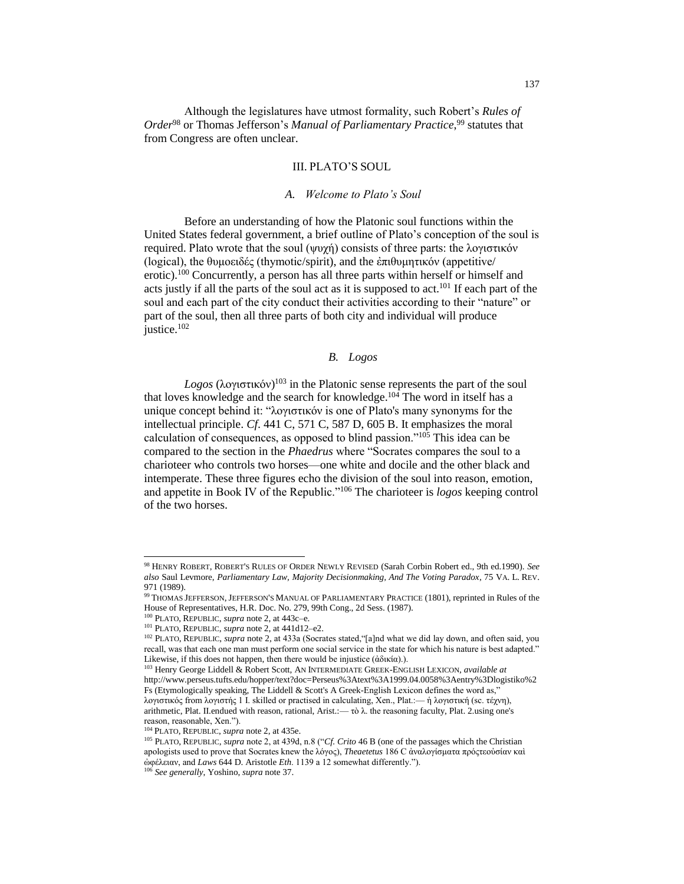Although the legislatures have utmost formality, such Robert's *Rules of Order*<sup>98</sup> or Thomas Jefferson's *Manual of Parliamentary Practice*, <sup>99</sup> statutes that from Congress are often unclear.

# III. PLATO'S SOUL

#### *A. Welcome to Plato's Soul*

Before an understanding of how the Platonic soul functions within the United States federal government, a brief outline of Plato's conception of the soul is required. Plato wrote that the soul (ψυχή) consists of three parts: the λογιστικόν (logical), the θυμοειδές (thymotic/spirit), and the ἐπιθυμητικόν (appetitive/ erotic).<sup>100</sup> Concurrently, a person has all three parts within herself or himself and acts justly if all the parts of the soul act as it is supposed to act.<sup>101</sup> If each part of the soul and each part of the city conduct their activities according to their "nature" or part of the soul, then all three parts of both city and individual will produce justice.<sup>102</sup>

# *B. Logos*

*Logos* (λογιστικόν) <sup>103</sup> in the Platonic sense represents the part of the soul that loves knowledge and the search for knowledge.<sup>104</sup> The word in itself has a unique concept behind it: "λογιστικόν is one of Plato's many synonyms for the intellectual principle. *Cf*. 441 C, 571 C, 587 D, 605 B. It emphasizes the moral calculation of consequences, as opposed to blind passion."<sup>105</sup> This idea can be compared to the section in the *Phaedrus* where "Socrates compares the soul to a charioteer who controls two horses—one white and docile and the other black and intemperate. These three figures echo the division of the soul into reason, emotion, and appetite in Book IV of the Republic."<sup>106</sup> The charioteer is *logos* keeping control of the two horses.

<sup>98</sup> HENRY ROBERT, ROBERT'S RULES OF ORDER NEWLY REVISED (Sarah Corbin Robert ed., 9th ed.1990). *See also* Saul Levmore, *Parliamentary Law, Majority Decisionmaking, And The Voting Paradox*, 75 VA. L. REV. 971 (1989).

<sup>99</sup> THOMAS JEFFERSON, JEFFERSON'S MANUAL OF PARLIAMENTARY PRACTICE (1801), reprinted in Rules of the House of Representatives, H.R. Doc. No. 279, 99th Cong., 2d Sess. (1987).

<sup>100</sup> PLATO, REPUBLIC, *supra* note 2, at 443c–e.

<sup>101</sup> PLATO, REPUBLIC, *supra* note 2, at 441d12–e2.

<sup>102</sup> PLATO, REPUBLIC, *supra* note 2*,* at 433a (Socrates stated,"[a]nd what we did lay down, and often said, you recall, was that each one man must perform one social service in the state for which his nature is best adapted." Likewise, if this does not happen, then there would be injustice (άδικία).).

<sup>103</sup> Henry George Liddell & Robert Scott, AN INTERMEDIATE GREEK-ENGLISH LEXICON, *available at*  http://www.perseus.tufts.edu/hopper/text?doc=Perseus%3Atext%3A1999.04.0058%3Aentry%3Dlogistiko%2 Fs (Etymologically speaking, The Liddell & Scott's A Greek-English Lexicon defines the word as," λογιστικός from λογιστής 1 I. skilled or practised in calculating, Xen., Plat.:— ἡ λογιστική (sc. τέχνη), arithmetic, Plat. II.endued with reason, rational, Arist.:— τὸ λ. the reasoning faculty, Plat. 2.using one's reason, reasonable, Xen.").

<sup>104</sup> PLATO, REPUBLIC, *supra* note 2, at 435e.

<sup>105</sup> PLATO, REPUBLIC, *supra* note 2, at 439d, n.8 ("*Cf. Crito* 46 B (one of the passages which the Christian apologists used to prove that Socrates knew the λόγος), *Theaetetus* 186 C ἀναλογίσματα πρόςτεοὐσίαν καὶ ὠφέλειαν, and *Laws* 644 D. Aristotle *Eth*. 1139 a 12 somewhat differently.").

<sup>106</sup> *See generally*, Yoshino, *supra* note 37.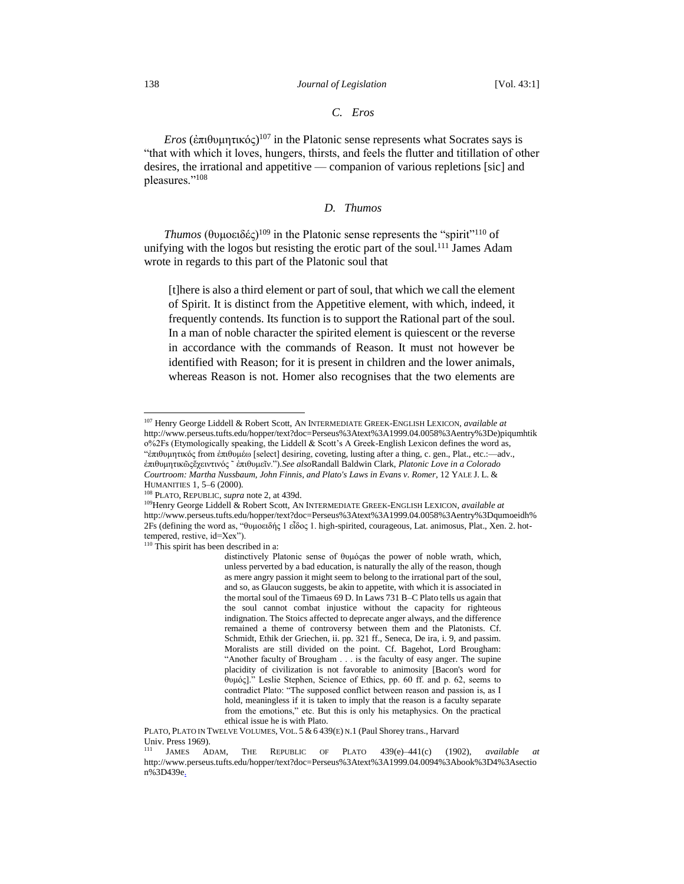## *C. Eros*

*Eros* (ἐπιθυμητικός) <sup>107</sup> in the Platonic sense represents what Socrates says is "that with which it loves, hungers, thirsts, and feels the flutter and titillation of other desires, the irrational and appetitive — companion of various repletions [sic] and pleasures."<sup>108</sup>

# *D. Thumos*

*Thumos* (θυμοειδές)<sup>109</sup> in the Platonic sense represents the "spirit"<sup>110</sup> of unifying with the logos but resisting the erotic part of the soul.<sup>111</sup> James Adam wrote in regards to this part of the Platonic soul that

[t]here is also a third element or part of soul, that which we call the element of Spirit. It is distinct from the Appetitive element, with which, indeed, it frequently contends. Its function is to support the Rational part of the soul. In a man of noble character the spirited element is quiescent or the reverse in accordance with the commands of Reason. It must not however be identified with Reason; for it is present in children and the lower animals, whereas Reason is not. Homer also recognises that the two elements are

<sup>107</sup> Henry George Liddell & Robert Scott, AN INTERMEDIATE GREEK-ENGLISH LEXICON, *available at*  http://www.perseus.tufts.edu/hopper/text?doc=Perseus%3Atext%3A1999.04.0058%3Aentry%3De)piqumhtik  $o\frac{6}{2}$ Fs (Etymologically speaking, the Liddell & Scott's A Greek-English Lexicon defines the word as, "ἐπιθυμητικός from ἐπιθυμέω [select] desiring, coveting, lusting after a thing, c. gen., Plat., etc.:—adv., ἐπιθυμητικῶςἔχειντινός ῀ ἐπιθυμεῖν.").*See also*Randall Baldwin Clark, *Platonic Love in a Colorado Courtroom: Martha Nussbaum, John Finnis, and Plato's Laws in Evans v. Romer*, 12 YALE J. L. & HUMANITIES 1, 5–6 (2000).

<sup>108</sup> PLATO, REPUBLIC, *supra* note 2, at 439d.

<sup>109</sup>Henry George Liddell & Robert Scott, AN INTERMEDIATE GREEK-ENGLISH LEXICON, *available at*  http://www.perseus.tufts.edu/hopper/text?doc=Perseus%3Atext%3A1999.04.0058%3Aentry%3Dqumoeidh% 2Fs (defining the word as, "θυμοειδής 1 εἶδος 1. high-spirited, courageous, Lat. animosus, Plat., Xen. 2. hottempered, restive, id=Xex").

<sup>&</sup>lt;sup>110</sup> This spirit has been described in a:

distinctively Platonic sense of θυμόςas the power of noble wrath, which, unless perverted by a bad education, is naturally the ally of the reason, though as mere angry passion it might seem to belong to the irrational part of the soul, and so, as Glaucon suggests, be akin to appetite, with which it is associated in the mortal soul of the Timaeus 69 D. In Laws 731 B–C Plato tells us again that the soul cannot combat injustice without the capacity for righteous indignation. The Stoics affected to deprecate anger always, and the difference remained a theme of controversy between them and the Platonists. Cf. Schmidt, Ethik der Griechen, ii. pp. 321 ff., Seneca, De ira, i. 9, and passim. Moralists are still divided on the point. Cf. Bagehot, Lord Brougham: "Another faculty of Brougham . . . is the faculty of easy anger. The supine placidity of civilization is not favorable to animosity [Bacon's word for θυμός]." Leslie Stephen, Science of Ethics, pp. 60 ff. and p. 62, seems to contradict Plato: "The supposed conflict between reason and passion is, as I hold, meaningless if it is taken to imply that the reason is a faculty separate from the emotions," etc. But this is only his metaphysics. On the practical ethical issue he is with Plato.

PLATO, PLATO IN TWELVE VOLUMES, VOL. 5 & 6 439(E) N.1 (Paul Shorey trans., Harvard Univ. Press 1969).

<sup>111</sup> JAMES ADAM, THE REPUBLIC OF PLATO 439(e)–441(c) (1902), *available at* http://www.perseus.tufts.edu/hopper/text?doc=Perseus%3Atext%3A1999.04.0094%3Abook%3D4%3Asectio n%3D439e.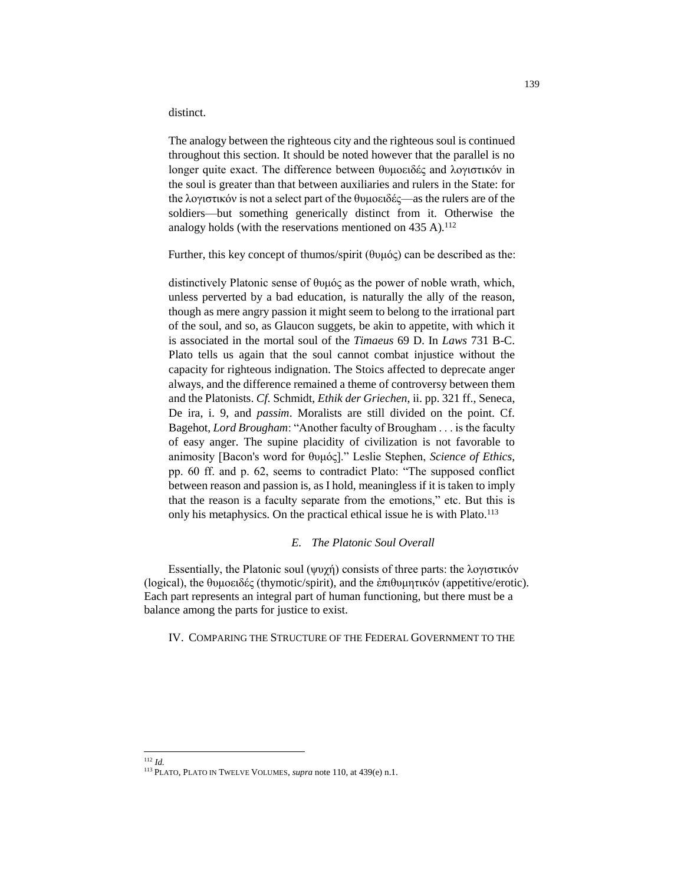distinct.

The analogy between the righteous city and the righteous soul is continued throughout this section. It should be noted however that the parallel is no longer quite exact. The difference between θυμοειδές and λογιστικόν in the soul is greater than that between auxiliaries and rulers in the State: for the λογιστικόν is not a select part of the θυμοειδές—as the rulers are of the soldiers—but something generically distinct from it. Otherwise the analogy holds (with the reservations mentioned on  $435$  A).<sup>112</sup>

Further, this key concept of thumos/spirit (θυμός) can be described as the:

distinctively Platonic sense of θυμός as the power of noble wrath, which, unless perverted by a bad education, is naturally the ally of the reason, though as mere angry passion it might seem to belong to the irrational part of the soul, and so, as Glaucon suggets, be akin to appetite, with which it is associated in the mortal soul of the *Timaeus* 69 D. In *Laws* 731 B-C. Plato tells us again that the soul cannot combat injustice without the capacity for righteous indignation. The Stoics affected to deprecate anger always, and the difference remained a theme of controversy between them and the Platonists. *Cf*. Schmidt, *Ethik der Griechen*, ii. pp. 321 ff., Seneca, De ira, i. 9, and *passim*. Moralists are still divided on the point. Cf. Bagehot, *Lord Brougham*: "Another faculty of Brougham . . . is the faculty of easy anger. The supine placidity of civilization is not favorable to animosity [Bacon's word for θυμός]." Leslie Stephen, *Science of Ethics*, pp. 60 ff. and p. 62, seems to contradict Plato: "The supposed conflict between reason and passion is, as I hold, meaningless if it is taken to imply that the reason is a faculty separate from the emotions," etc. But this is only his metaphysics. On the practical ethical issue he is with Plato.<sup>113</sup>

## *E. The Platonic Soul Overall*

Essentially, the Platonic soul (ψυχή) consists of three parts: the λογιστικόν (logical), the θυμοειδές (thymotic/spirit), and the ἐπιθυμητικόν (appetitive/erotic). Each part represents an integral part of human functioning, but there must be a balance among the parts for justice to exist.

## IV. COMPARING THE STRUCTURE OF THE FEDERAL GOVERNMENT TO THE

 $\overline{a}$ <sup>112</sup> *Id.*

<sup>113</sup> PLATO, PLATO IN TWELVE VOLUMES, *supra* note 110, at 439(e) n.1.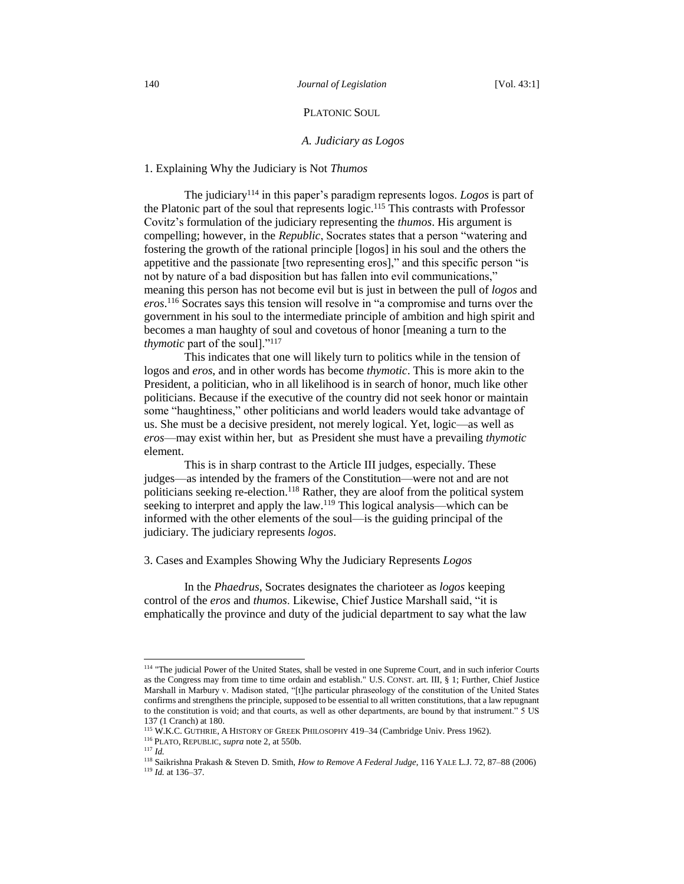## PLATONIC SOUL

#### *A. Judiciary as Logos*

## 1. Explaining Why the Judiciary is Not *Thumos*

The judiciary<sup>114</sup> in this paper's paradigm represents logos. *Logos* is part of the Platonic part of the soul that represents logic.<sup>115</sup> This contrasts with Professor Covitz's formulation of the judiciary representing the *thumos*. His argument is compelling; however, in the *Republic*, Socrates states that a person "watering and fostering the growth of the rational principle [logos] in his soul and the others the appetitive and the passionate [two representing eros]," and this specific person "is not by nature of a bad disposition but has fallen into evil communications," meaning this person has not become evil but is just in between the pull of *logos* and *eros*. <sup>116</sup> Socrates says this tension will resolve in "a compromise and turns over the government in his soul to the intermediate principle of ambition and high spirit and becomes a man haughty of soul and covetous of honor [meaning a turn to the *thymotic* part of the soul]."<sup>117</sup>

This indicates that one will likely turn to politics while in the tension of logos and *eros*, and in other words has become *thymotic*. This is more akin to the President, a politician, who in all likelihood is in search of honor, much like other politicians. Because if the executive of the country did not seek honor or maintain some "haughtiness," other politicians and world leaders would take advantage of us. She must be a decisive president, not merely logical. Yet, logic—as well as *eros*—may exist within her, but as President she must have a prevailing *thymotic* element.

This is in sharp contrast to the Article III judges, especially. These judges—as intended by the framers of the Constitution—were not and are not politicians seeking re-election.<sup>118</sup> Rather, they are aloof from the political system seeking to interpret and apply the law.<sup>119</sup> This logical analysis—which can be informed with the other elements of the soul—is the guiding principal of the judiciary. The judiciary represents *logos*.

3. Cases and Examples Showing Why the Judiciary Represents *Logos*

In the *Phaedrus*, Socrates designates the charioteer as *logos* keeping control of the *eros* and *thumos*. Likewise, Chief Justice Marshall said, "it is emphatically the province and duty of the judicial department to say what the law

<sup>&</sup>lt;sup>114</sup> "The judicial Power of the United States, shall be vested in one Supreme Court, and in such inferior Courts as the Congress may from time to time ordain and establish." U.S. CONST. art. III, § 1; Further, Chief Justice Marshall in Marbury v. Madison stated, "[t]he particular phraseology of the constitution of the United States confirms and strengthens the principle, supposed to be essential to all written constitutions, that a law repugnant to the constitution is void; and that courts, as well as other departments, are bound by that instrument." 5 US 137 (1 Cranch) at 180.

<sup>115</sup> W.K.C. GUTHRIE, A HISTORY OF GREEK PHILOSOPHY 419–34 (Cambridge Univ. Press 1962).

<sup>116</sup> PLATO, REPUBLIC, *supra* note 2, at 550b.

<sup>117</sup> *Id.*

<sup>118</sup> Saikrishna Prakash & Steven D. Smith, *How to Remove A Federal Judge*, 116 YALE L.J. 72, 87–88 (2006) <sup>119</sup> *Id.* at 136–37.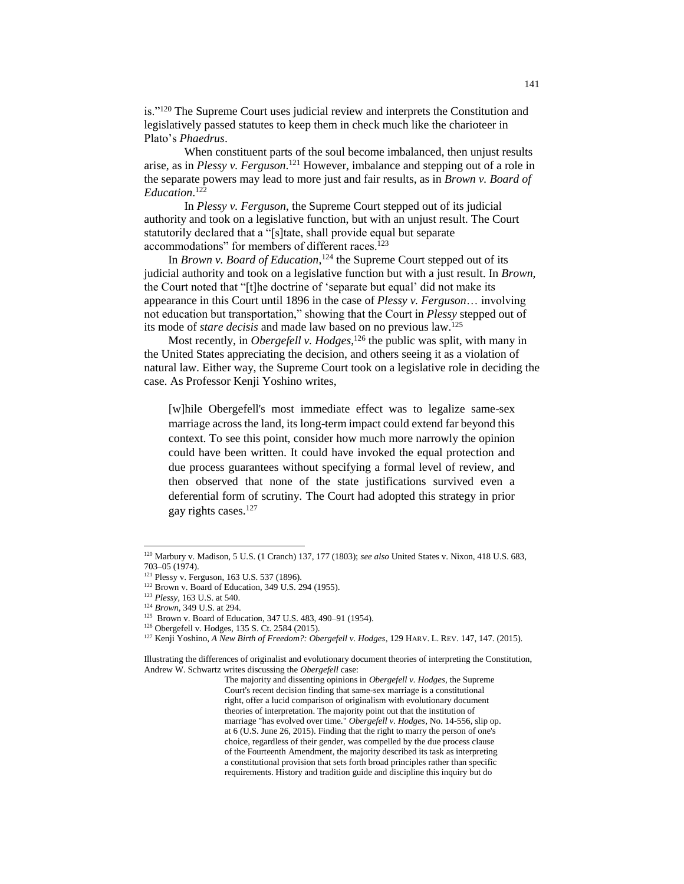is."<sup>120</sup> The Supreme Court uses judicial review and interprets the Constitution and legislatively passed statutes to keep them in check much like the charioteer in Plato's *Phaedrus*.

When constituent parts of the soul become imbalanced, then unjust results arise, as in *Plessy v. Ferguson*. <sup>121</sup> However, imbalance and stepping out of a role in the separate powers may lead to more just and fair results, as in *Brown v. Board of Education*. 122

In *Plessy v. Ferguson*, the Supreme Court stepped out of its judicial authority and took on a legislative function, but with an unjust result. The Court statutorily declared that a "[s]tate, shall provide equal but separate accommodations" for members of different races.<sup>123</sup>

In *Brown v. Board of Education*,<sup>124</sup> the Supreme Court stepped out of its judicial authority and took on a legislative function but with a just result. In *Brown*, the Court noted that "[t]he doctrine of 'separate but equal' did not make its appearance in this Court until 1896 in the case of *Plessy v. Ferguson*… involving not education but transportation," showing that the Court in *Plessy* stepped out of its mode of *stare decisis* and made law based on no previous law.<sup>125</sup>

Most recently, in *Obergefell v. Hodges*, <sup>126</sup> the public was split, with many in the United States appreciating the decision, and others seeing it as a violation of natural law. Either way, the Supreme Court took on a legislative role in deciding the case. As Professor Kenji Yoshino writes,

[w]hile Obergefell's most immediate effect was to legalize same-sex marriage across the land, its long-term impact could extend far beyond this context. To see this point, consider how much more narrowly the opinion could have been written. It could have invoked the equal protection and due process guarantees without specifying a formal level of review, and then observed that none of the state justifications survived even a deferential form of scrutiny. The Court had adopted this strategy in prior gay rights cases. 127

 $\overline{a}$ 

<sup>127</sup> Kenji Yoshino, *A New Birth of Freedom?: Obergefell v. Hodges*, 129 HARV. L. REV. 147, 147. (2015).

The majority and dissenting opinions in *Obergefell v. Hodges*, the Supreme Court's recent decision finding that same-sex marriage is a constitutional right, offer a lucid comparison of originalism with evolutionary document theories of interpretation. The majority point out that the institution of marriage "has evolved over time." *Obergefell v. Hodges*, No. 14-556, slip op. at 6 (U.S. June 26, 2015). Finding that the right to marry the person of one's choice, regardless of their gender, was compelled by the due process clause of the Fourteenth Amendment, the majority described its task as interpreting a constitutional provision that sets forth broad principles rather than specific requirements. History and tradition guide and discipline this inquiry but do

<sup>120</sup> Marbury v. Madison, 5 U.S. (1 Cranch) 137, 177 (1803); *see also* United States v. Nixon, 418 U.S. 683, 703–05 (1974).

<sup>121</sup> Plessy v. Ferguson, 163 U.S. 537 (1896).

<sup>122</sup> Brown v. Board of Education, 349 U.S. 294 (1955).

<sup>123</sup> *Plessy,* 163 U.S. at 540.

<sup>124</sup> *Brown*, 349 U.S. at 294.

<sup>&</sup>lt;sup>125</sup> Brown v. Board of Education, 347 U.S. 483, 490–91 (1954).

<sup>126</sup> Obergefell v. Hodges, 135 S. Ct. 2584 (2015).

Illustrating the differences of originalist and evolutionary document theories of interpreting the Constitution, Andrew W. Schwartz writes discussing the *Obergefell* case: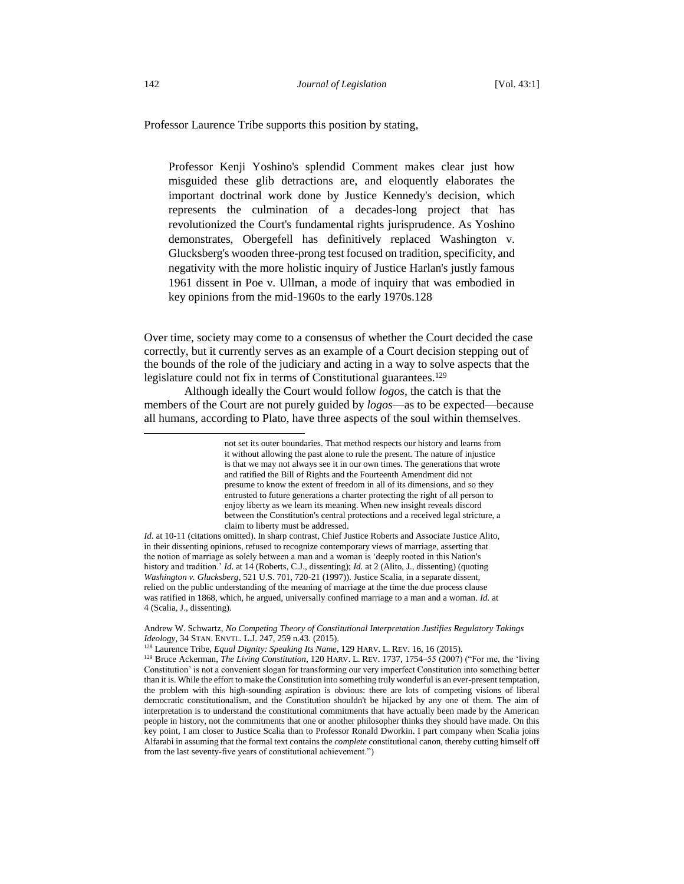Professor Laurence Tribe supports this position by stating,

Professor Kenji Yoshino's splendid Comment makes clear just how misguided these glib detractions are, and eloquently elaborates the important doctrinal work done by Justice Kennedy's decision, which represents the culmination of a decades-long project that has revolutionized the Court's fundamental rights jurisprudence. As Yoshino demonstrates, Obergefell has definitively replaced Washington v. Glucksberg's wooden three-prong test focused on tradition, specificity, and negativity with the more holistic inquiry of Justice Harlan's justly famous 1961 dissent in Poe v. Ullman, a mode of inquiry that was embodied in key opinions from the mid-1960s to the early 1970s.128

Over time, society may come to a consensus of whether the Court decided the case correctly, but it currently serves as an example of a Court decision stepping out of the bounds of the role of the judiciary and acting in a way to solve aspects that the legislature could not fix in terms of Constitutional guarantees.<sup>129</sup>

Although ideally the Court would follow *logos*, the catch is that the members of the Court are not purely guided by *logos*—as to be expected—because all humans, according to Plato, have three aspects of the soul within themselves.

not set its outer boundaries. That method respects our history and learns from it without allowing the past alone to rule the present. The nature of injustice is that we may not always see it in our own times. The generations that wrote and ratified the Bill of Rights and the Fourteenth Amendment did not presume to know the extent of freedom in all of its dimensions, and so they entrusted to future generations a charter protecting the right of all person to enjoy liberty as we learn its meaning. When new insight reveals discord between the Constitution's central protections and a received legal stricture, a claim to liberty must be addressed.

*Id.* at 10-11 (citations omitted). In sharp contrast, Chief Justice Roberts and Associate Justice Alito, in their dissenting opinions, refused to recognize contemporary views of marriage, asserting that the notion of marriage as solely between a man and a woman is 'deeply rooted in this Nation's history and tradition.' *Id*. at 14 (Roberts, C.J., dissenting); *Id.* at 2 (Alito, J., dissenting) (quoting *Washington v. Glucksberg*, 521 U.S. 701, 720-21 (1997)). Justice Scalia, in a separate dissent, relied on the public understanding of the meaning of marriage at the time the due process clause was ratified in 1868, which, he argued, universally confined marriage to a man and a woman. *Id.* at 4 (Scalia, J., dissenting).

Andrew W. Schwartz, *No Competing Theory of Constitutional Interpretation Justifies Regulatory Takings Ideology*, 34 STAN. ENVTL. L.J. 247, 259 n.43. (2015).

<sup>128</sup> Laurence Tribe, *Equal Dignity: Speaking Its Name*, 129 HARV. L. REV. 16, 16 (2015).

<sup>129</sup> Bruce Ackerman, *The Living Constitution*, 120 HARV. L. REV. 1737, 1754–55 (2007) ("For me, the 'living Constitution' is not a convenient slogan for transforming our very imperfect Constitution into something better than it is. While the effort to make the Constitution into something truly wonderful is an ever-present temptation, the problem with this high-sounding aspiration is obvious: there are lots of competing visions of liberal democratic constitutionalism, and the Constitution shouldn't be hijacked by any one of them. The aim of interpretation is to understand the constitutional commitments that have actually been made by the American people in history, not the commitments that one or another philosopher thinks they should have made. On this key point, I am closer to Justice Scalia than to Professor Ronald Dworkin. I part company when Scalia joins Alfarabi in assuming that the formal text contains the *complete* constitutional canon, thereby cutting himself off from the last seventy-five years of constitutional achievement.")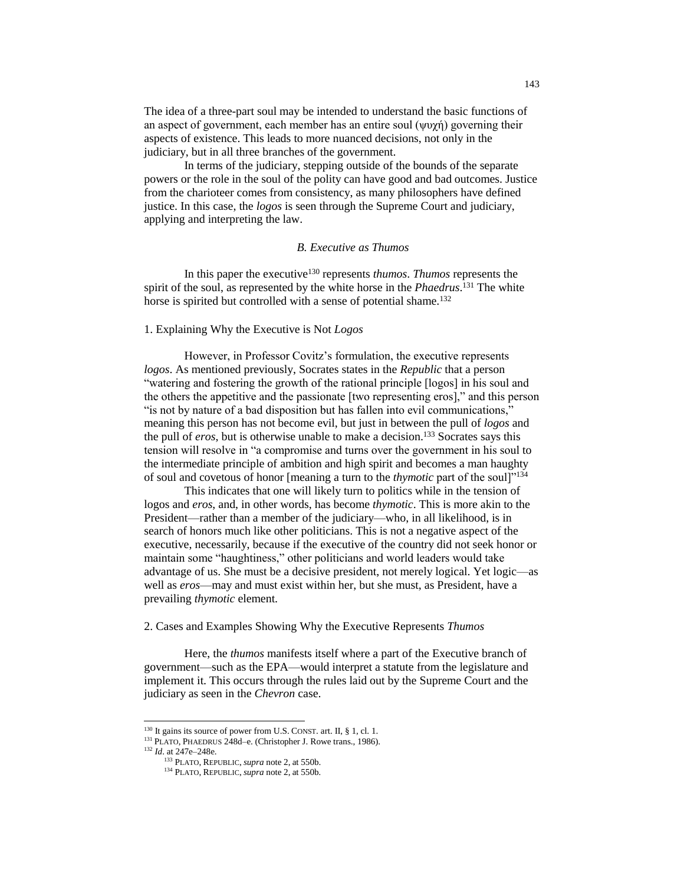The idea of a three-part soul may be intended to understand the basic functions of an aspect of government, each member has an entire soul (ψυχή) governing their aspects of existence. This leads to more nuanced decisions, not only in the judiciary, but in all three branches of the government.

In terms of the judiciary, stepping outside of the bounds of the separate powers or the role in the soul of the polity can have good and bad outcomes. Justice from the charioteer comes from consistency, as many philosophers have defined justice. In this case, the *logos* is seen through the Supreme Court and judiciary, applying and interpreting the law.

## *B. Executive as Thumos*

In this paper the executive<sup>130</sup> represents *thumos*. *Thumos* represents the spirit of the soul, as represented by the white horse in the *Phaedrus*. <sup>131</sup> The white horse is spirited but controlled with a sense of potential shame.<sup>132</sup>

## 1. Explaining Why the Executive is Not *Logos*

However, in Professor Covitz's formulation, the executive represents *logos*. As mentioned previously, Socrates states in the *Republic* that a person "watering and fostering the growth of the rational principle [logos] in his soul and the others the appetitive and the passionate [two representing eros]," and this person "is not by nature of a bad disposition but has fallen into evil communications," meaning this person has not become evil, but just in between the pull of *logos* and the pull of *eros*, but is otherwise unable to make a decision.<sup>133</sup> Socrates says this tension will resolve in "a compromise and turns over the government in his soul to the intermediate principle of ambition and high spirit and becomes a man haughty of soul and covetous of honor [meaning a turn to the *thymotic* part of the soul]"<sup>134</sup>

This indicates that one will likely turn to politics while in the tension of logos and *eros*, and, in other words, has become *thymotic*. This is more akin to the President—rather than a member of the judiciary—who, in all likelihood, is in search of honors much like other politicians. This is not a negative aspect of the executive, necessarily, because if the executive of the country did not seek honor or maintain some "haughtiness," other politicians and world leaders would take advantage of us. She must be a decisive president, not merely logical. Yet logic—as well as *eros*—may and must exist within her, but she must, as President, have a prevailing *thymotic* element.

2. Cases and Examples Showing Why the Executive Represents *Thumos*

Here, the *thumos* manifests itself where a part of the Executive branch of government—such as the EPA—would interpret a statute from the legislature and implement it. This occurs through the rules laid out by the Supreme Court and the judiciary as seen in the *Chevron* case.

<sup>132</sup> *Id*. at 247e–248e.

 $130$  It gains its source of power from U.S. CONST. art. II, § 1, cl. 1.

<sup>&</sup>lt;sup>131</sup> PLATO, PHAEDRUS 248d–e. (Christopher J. Rowe trans., 1986).

<sup>133</sup> PLATO, REPUBLIC, *supra* note 2, at 550b.

<sup>134</sup> PLATO, REPUBLIC, *supra* note 2, at 550b*.*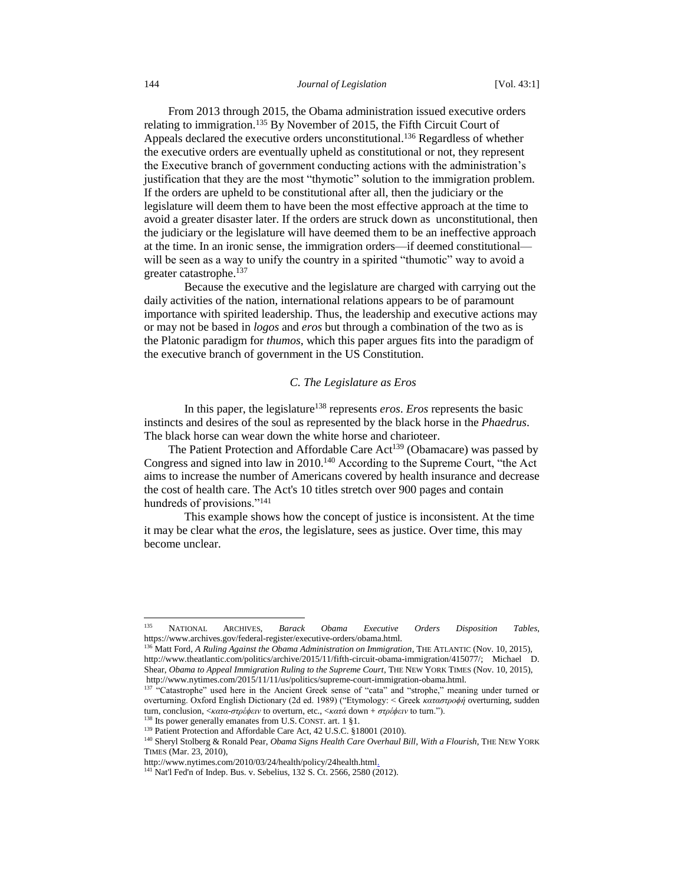From 2013 through 2015, the Obama administration issued executive orders relating to immigration.<sup>135</sup> By November of 2015, the Fifth Circuit Court of Appeals declared the executive orders unconstitutional.<sup>136</sup> Regardless of whether the executive orders are eventually upheld as constitutional or not, they represent the Executive branch of government conducting actions with the administration's justification that they are the most "thymotic" solution to the immigration problem. If the orders are upheld to be constitutional after all, then the judiciary or the legislature will deem them to have been the most effective approach at the time to avoid a greater disaster later. If the orders are struck down as unconstitutional, then the judiciary or the legislature will have deemed them to be an ineffective approach at the time. In an ironic sense, the immigration orders—if deemed constitutional will be seen as a way to unify the country in a spirited "thumotic" way to avoid a greater catastrophe.<sup>137</sup>

Because the executive and the legislature are charged with carrying out the daily activities of the nation, international relations appears to be of paramount importance with spirited leadership. Thus, the leadership and executive actions may or may not be based in *logos* and *eros* but through a combination of the two as is the Platonic paradigm for *thumos*, which this paper argues fits into the paradigm of the executive branch of government in the US Constitution.

## *C. The Legislature as Eros*

In this paper, the legislature<sup>138</sup> represents *eros*. *Eros* represents the basic instincts and desires of the soul as represented by the black horse in the *Phaedrus*. The black horse can wear down the white horse and charioteer.

The Patient Protection and Affordable Care Act<sup>139</sup> (Obamacare) was passed by Congress and signed into law in 2010.<sup>140</sup> According to the Supreme Court, "the Act aims to increase the number of Americans covered by health insurance and decrease the cost of health care. The Act's 10 titles stretch over 900 pages and contain hundreds of provisions."<sup>141</sup>

This example shows how the concept of justice is inconsistent. At the time it may be clear what the *eros*, the legislature, sees as justice. Over time, this may become unclear.

<sup>138</sup> Its power generally emanates from U.S. CONST. art. 1 §1.

<sup>135</sup> <sup>135</sup> NATIONAL ARCHIVES, *Barack Obama Executive Orders Disposition Tables*, https://www.archives.gov/federal-register/executive-orders/obama.html.

<sup>&</sup>lt;sup>5</sup> Matt Ford, *A Ruling Against the Obama Administration on Immigration*, THE ATLANTIC (Nov. 10, 2015), http://www.theatlantic.com/politics/archive/2015/11/fifth-circuit-obama-immigration/415077/; Michael D. Shear, *Obama to Appeal Immigration Ruling to the Supreme Court*, THE NEW YORK TIMES (Nov. 10, 2015), http://www.nytimes.com/2015/11/11/us/politics/supreme-court-immigration-obama.html.

<sup>&</sup>lt;sup>137</sup> "Catastrophe" used here in the Ancient Greek sense of "cata" and "strophe," meaning under turned or overturning. Oxford English Dictionary (2d ed. 1989) ("Etymology: < Greek *καταστροϕή* overturning, sudden turn, conclusion, <*κατα*-*στρέϕειν* to overturn, etc., <*κατά* down + *στρέϕειν* to turn.").

<sup>&</sup>lt;sup>139</sup> Patient Protection and Affordable Care Act, 42 U.S.C. §18001 (2010).

<sup>140</sup> Sheryl Stolberg & Ronald Pear, *Obama Signs Health Care Overhaul Bill, With a Flourish*, THE NEW YORK TIMES (Mar. 23, 2010),

http://www.nytimes.com/2010/03/24/health/policy/24health.html.

<sup>&</sup>lt;sup>141</sup> Nat'l Fed'n of Indep. Bus. v. Sebelius,  $132$  S. Ct. 2566, 2580 (2012).